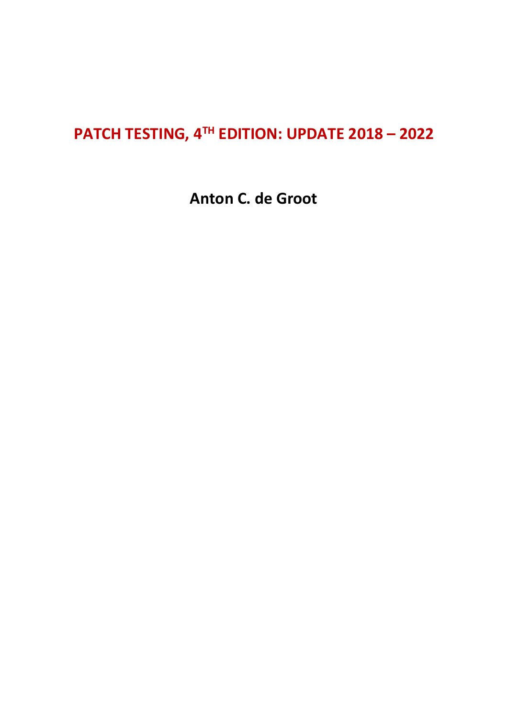## **PATCH TESTING, 4 TH EDITION: UPDATE 2018 – 2022**

**Anton C. de Groot**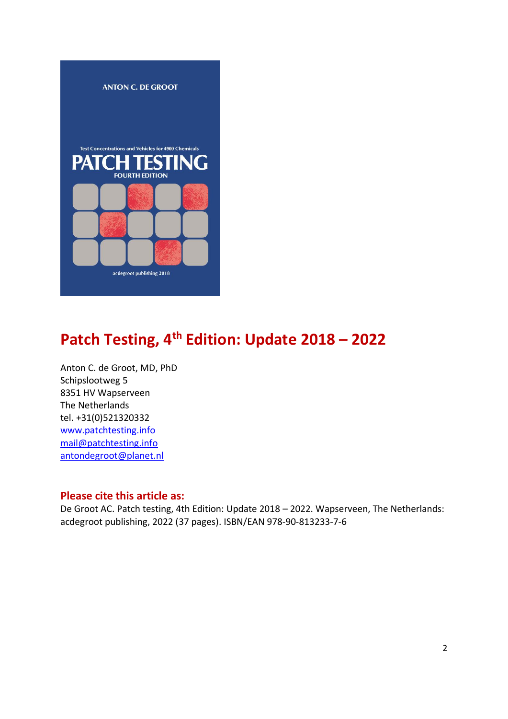

# **Patch Testing, 4 th Edition: Update 2018 – 2022**

Anton C. de Groot, MD, PhD Schipslootweg 5 8351 HV Wapserveen The Netherlands tel. +31(0)521320332 [www.patchtesting.info](http://www.patchtesting.info/) [mail@patchtesting.info](mailto:mail@patchtesting.info) [antondegroot@planet.nl](mailto:antondegroot@planet.nl)

### **Please cite this article as:**

De Groot AC. Patch testing, 4th Edition: Update 2018 – 2022. Wapserveen, The Netherlands: acdegroot publishing, 2022 (37 pages). ISBN/EAN 978-90-813233-7-6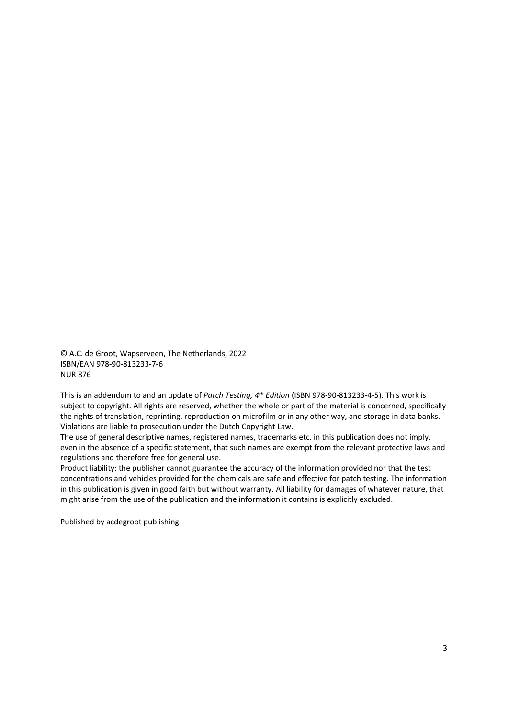© A.C. de Groot, Wapserveen, The Netherlands, 2022 ISBN/EAN 978-90-813233-7-6 NUR 876

This is an addendum to and an update of *Patch Testing, 4th Edition* (ISBN 978-90-813233-4-5). This work is subject to copyright. All rights are reserved, whether the whole or part of the material is concerned, specifically the rights of translation, reprinting, reproduction on microfilm or in any other way, and storage in data banks. Violations are liable to prosecution under the Dutch Copyright Law.

The use of general descriptive names, registered names, trademarks etc. in this publication does not imply, even in the absence of a specific statement, that such names are exempt from the relevant protective laws and regulations and therefore free for general use.

Product liability: the publisher cannot guarantee the accuracy of the information provided nor that the test concentrations and vehicles provided for the chemicals are safe and effective for patch testing. The information in this publication is given in good faith but without warranty. All liability for damages of whatever nature, that might arise from the use of the publication and the information it contains is explicitly excluded.

Published by acdegroot publishing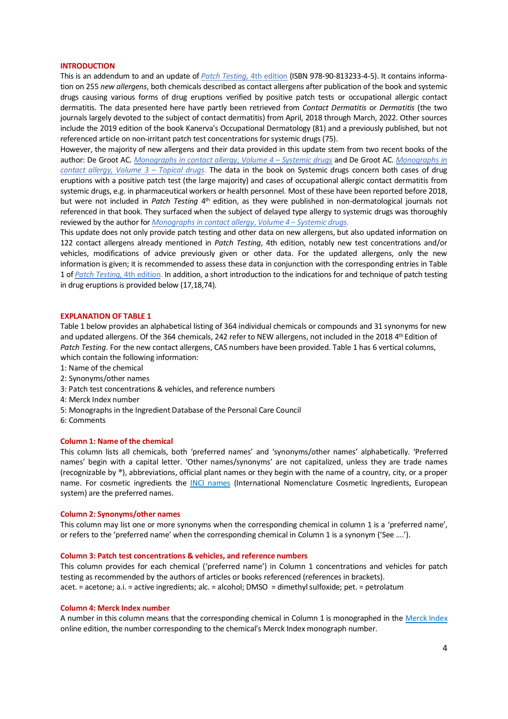#### **INTRODUCTION**

This is an addendum to and an update of *[Patch Testing,](https://www.patchtesting.info/)* 4th edition (ISBN 978-90-813233-4-5). It contains information on 255 *new allergens*, both chemicals described as contact allergens after publication of the book and systemic drugs causing various forms of drug eruptions verified by positive patch tests or occupational allergic contact dermatitis. The data presented here have partly been retrieved from *Contact Dermatitis* or *Dermatitis* (the two journals largely devoted to the subject of contact dermatitis) from April, 2018 through March, 2022. Other sources include the 2019 edition of the book Kanerva's Occupational Dermatology (81) and a previously published, but not referenced article on non-irritant patch test concentrations for systemic drugs (75).

However, the majority of new allergens and their data provided in this update stem from two recent books of the author: De Groot AC. *[Monographs in contact allergy](https://www.routledge.com/Monographs-in-Contact-Allergy-Volume-4-Systemic-Drugs/Groot/p/book/9780367436490)*, *Volume 4* – *Systemic drugs* and De Groot AC. *[Monographs in](https://www.routledge.com/Monographs-in-Contact-Allergy-Volume-3-Topical-Drugs/Groot/p/book/9780367236939)  [contact allergy, Volume 3](https://www.routledge.com/Monographs-in-Contact-Allergy-Volume-3-Topical-Drugs/Groot/p/book/9780367236939) – Topical drugs*. The data in the book on Systemic drugs concern both cases of drug eruptions with a positive patch test (the large majority) and cases of occupational allergic contact dermatitis from systemic drugs, e.g. in pharmaceutical workers or health personnel. Most of these have been reported before 2018, but were not included in Patch Testing 4<sup>th</sup> edition, as they were published in non-dermatological journals not referenced in that book. They surfaced when the subject of delayed type allergy to systemic drugs was thoroughly reviewed by the author for *[Monographs in contact allergy](https://www.routledge.com/Monographs-in-Contact-Allergy-Volume-4-Systemic-Drugs/Groot/p/book/9780367436490)*, *Volume 4* – *Systemic drugs.*

This update does not only provide patch testing and other data on new allergens, but also updated information on 122 contact allergens already mentioned in *Patch Testing*, 4th edition, notably new test concentrations and/or vehicles, modifications of advice previously given or other data. For the updated allergens, only the new information is given; it is recommended to assess these data in conjunction with the corresponding entries in Table 1 of *[Patch Testing,](https://www.patchtesting.info/)* 4th edition. In addition, a short introduction to the indications for and technique of patch testing in drug eruptions is provided below (17,18,74).

#### **EXPLANATION OF TABLE 1**

Table 1 below provides an alphabetical listing of 364 individual chemicals or compounds and 31 synonyms for new and updated allergens. Of the 364 chemicals, 242 refer to NEW allergens, not included in the 2018 4<sup>th</sup> Edition of *Patch Testing*. For the new contact allergens, CAS numbers have been provided. Table 1 has 6 vertical columns, which contain the following information:

- 1: Name of the chemical
- 2: Synonyms/other names
- 3: Patch test concentrations & vehicles, and reference numbers
- 4: Merck Index number
- 5: Monographs in the Ingredient Database of the Personal Care Council
- 6: Comments

#### **Column 1: Name of the chemical**

This column lists all chemicals, both 'preferred names' and 'synonyms/other names' alphabetically. 'Preferred names' begin with a capital letter. 'Other names/synonyms' are not capitalized, unless they are trade names (recognizable by ®), abbreviations, official plant names or they begin with the name of a country, city, or a proper name. For cosmetic ingredients the [INCI names](http://ec.europa.eu/consumers/cosmetics/cosing/) (International Nomenclature Cosmetic Ingredients, European system) are the preferred names.

#### **Column 2: Synonyms/other names**

This column may list one or more synonyms when the corresponding chemical in column 1 is a 'preferred name', or refers to the 'preferred name' when the corresponding chemical in Column 1 is a synonym ('See ….').

#### **Column 3: Patch test concentrations & vehicles, and reference numbers**

This column provides for each chemical ('preferred name') in Column 1 concentrations and vehicles for patch testing as recommended by the authors of articles or books referenced (references in brackets). acet. = acetone; a.i. = active ingredients; alc. = alcohol; DMSO = dimethyl sulfoxide; pet. = petrolatum

#### **Column 4: Merck Index number**

A number in this column means that the corresponding chemical in Column 1 is monographed in the [Merck Index](https://www.rsc.org/merck-index) online edition, the number corresponding to the chemical's Merck Index monograph number.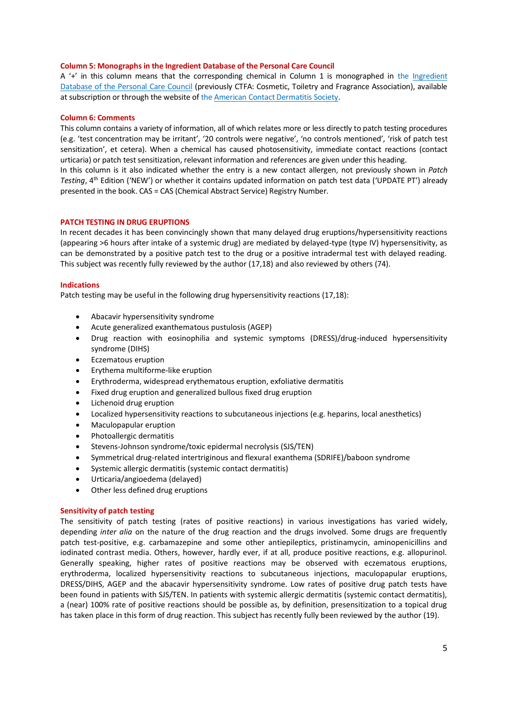#### **Column 5: Monographs in the Ingredient Database of the Personal Care Council**

A '+' in this column means that the corresponding chemical in Column 1 is monographed in the [Ingredient](http://online.personalcarecouncil.org/jsp/Home.jsp)  [Database of the Personal Care Council](http://online.personalcarecouncil.org/jsp/Home.jsp) (previously CTFA: Cosmetic, Toiletry and Fragrance Association), available at subscription or through the website of th[e American Contact Dermatitis Society.](https://www.contactderm.org/)

#### **Column 6: Comments**

This column contains a variety of information, all of which relates more or less directly to patch testing procedures (e.g. 'test concentration may be irritant', '20 controls were negative', 'no controls mentioned', 'risk of patch test sensitization', et cetera). When a chemical has caused photosensitivity, immediate contact reactions (contact urticaria) or patch test sensitization, relevant information and references are given under this heading.

In this column is it also indicated whether the entry is a new contact allergen, not previously shown in *Patch*  Testing, 4<sup>th</sup> Edition ('NEW') or whether it contains updated information on patch test data ('UPDATE PT') already presented in the book. CAS = CAS (Chemical Abstract Service) Registry Number.

#### **PATCH TESTING IN DRUG ERUPTIONS**

In recent decades it has been convincingly shown that many delayed drug eruptions/hypersensitivity reactions (appearing >6 hours after intake of a systemic drug) are mediated by delayed-type (type IV) hypersensitivity, as can be demonstrated by a positive patch test to the drug or a positive intradermal test with delayed reading. This subject was recently fully reviewed by the author (17,18) and also reviewed by others (74).

#### **Indications**

Patch testing may be useful in the following drug hypersensitivity reactions (17,18):

- Abacavir hypersensitivity syndrome
- Acute generalized exanthematous pustulosis (AGEP)
- Drug reaction with eosinophilia and systemic symptoms (DRESS)/drug-induced hypersensitivity syndrome (DIHS)
- Eczematous eruption
- Erythema multiforme-like eruption
- Erythroderma, widespread erythematous eruption, exfoliative dermatitis
- Fixed drug eruption and generalized bullous fixed drug eruption
- Lichenoid drug eruption
- Localized hypersensitivity reactions to subcutaneous injections (e.g. heparins, local anesthetics)
- Maculopapular eruption
- Photoallergic dermatitis
- Stevens-Johnson syndrome/toxic epidermal necrolysis (SJS/TEN)
- Symmetrical drug-related intertriginous and flexural exanthema (SDRIFE)/baboon syndrome
- Systemic allergic dermatitis (systemic contact dermatitis)
- Urticaria/angioedema (delayed)
- Other less defined drug eruptions

#### **Sensitivity of patch testing**

The sensitivity of patch testing (rates of positive reactions) in various investigations has varied widely, depending *inter alia* on the nature of the drug reaction and the drugs involved. Some drugs are frequently patch test-positive, e.g. carbamazepine and some other antiepileptics, pristinamycin, aminopenicillins and iodinated contrast media. Others, however, hardly ever, if at all, produce positive reactions, e.g. allopurinol. Generally speaking, higher rates of positive reactions may be observed with eczematous eruptions, erythroderma, localized hypersensitivity reactions to subcutaneous injections, maculopapular eruptions, DRESS/DIHS, AGEP and the abacavir hypersensitivity syndrome. Low rates of positive drug patch tests have been found in patients with SJS/TEN. In patients with systemic allergic dermatitis (systemic contact dermatitis), a (near) 100% rate of positive reactions should be possible as, by definition, presensitization to a topical drug has taken place in this form of drug reaction. This subject has recently fully been reviewed by the author (19).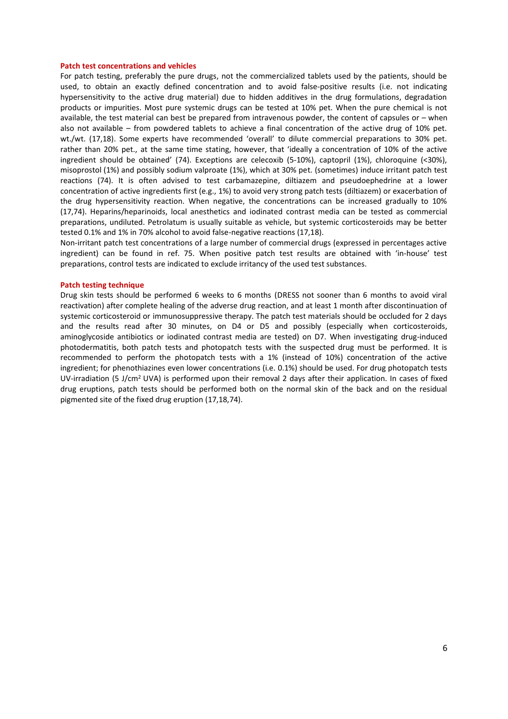#### **Patch test concentrations and vehicles**

For patch testing, preferably the pure drugs, not the commercialized tablets used by the patients, should be used, to obtain an exactly defined concentration and to avoid false-positive results (i.e. not indicating hypersensitivity to the active drug material) due to hidden additives in the drug formulations, degradation products or impurities. Most pure systemic drugs can be tested at 10% pet. When the pure chemical is not available, the test material can best be prepared from intravenous powder, the content of capsules or – when also not available – from powdered tablets to achieve a final concentration of the active drug of 10% pet. wt./wt. (17,18). Some experts have recommended 'overall' to dilute commercial preparations to 30% pet. rather than 20% pet., at the same time stating, however, that 'ideally a concentration of 10% of the active ingredient should be obtained' (74). Exceptions are celecoxib (5-10%), captopril (1%), chloroquine (<30%), misoprostol (1%) and possibly sodium valproate (1%), which at 30% pet. (sometimes) induce irritant patch test reactions (74). It is often advised to test carbamazepine, diltiazem and pseudoephedrine at a lower concentration of active ingredients first (e.g., 1%) to avoid very strong patch tests (diltiazem) or exacerbation of the drug hypersensitivity reaction. When negative, the concentrations can be increased gradually to 10% (17,74). Heparins/heparinoids, local anesthetics and iodinated contrast media can be tested as commercial preparations, undiluted. Petrolatum is usually suitable as vehicle, but systemic corticosteroids may be better tested 0.1% and 1% in 70% alcohol to avoid false-negative reactions (17,18).

Non-irritant patch test concentrations of a large number of commercial drugs (expressed in percentages active ingredient) can be found in ref. 75. When positive patch test results are obtained with 'in-house' test preparations, control tests are indicated to exclude irritancy of the used test substances.

#### **Patch testing technique**

Drug skin tests should be performed 6 weeks to 6 months (DRESS not sooner than 6 months to avoid viral reactivation) after complete healing of the adverse drug reaction, and at least 1 month after discontinuation of systemic corticosteroid or immunosuppressive therapy. The patch test materials should be occluded for 2 days and the results read after 30 minutes, on D4 or D5 and possibly (especially when corticosteroids, aminoglycoside antibiotics or iodinated contrast media are tested) on D7. When investigating drug-induced photodermatitis, both patch tests and photopatch tests with the suspected drug must be performed. It is recommended to perform the photopatch tests with a 1% (instead of 10%) concentration of the active ingredient; for phenothiazines even lower concentrations (i.e. 0.1%) should be used. For drug photopatch tests UV-irradiation (5 J/cm<sup>2</sup> UVA) is performed upon their removal 2 days after their application. In cases of fixed drug eruptions, patch tests should be performed both on the normal skin of the back and on the residual pigmented site of the fixed drug eruption (17,18,74).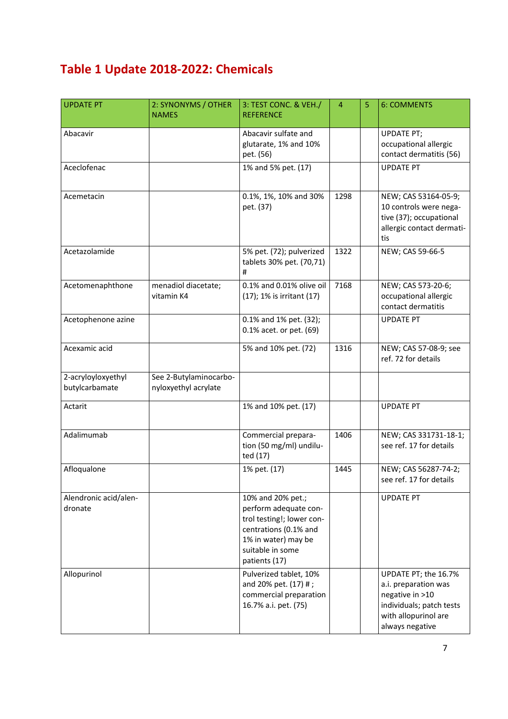## **Table 1 Update 2018-2022: Chemicals**

| <b>UPDATE PT</b>                     | 2: SYNONYMS / OTHER<br><b>NAMES</b>            | 3: TEST CONC. & VEH./<br><b>REFERENCE</b>                                                                                                                    | $\overline{4}$ | 5 | <b>6: COMMENTS</b>                                                                                                                     |
|--------------------------------------|------------------------------------------------|--------------------------------------------------------------------------------------------------------------------------------------------------------------|----------------|---|----------------------------------------------------------------------------------------------------------------------------------------|
| Abacavir                             |                                                | Abacavir sulfate and<br>glutarate, 1% and 10%<br>pet. (56)                                                                                                   |                |   | <b>UPDATE PT;</b><br>occupational allergic<br>contact dermatitis (56)                                                                  |
| Aceclofenac                          |                                                | 1% and 5% pet. (17)                                                                                                                                          |                |   | <b>UPDATE PT</b>                                                                                                                       |
| Acemetacin                           |                                                | 0.1%, 1%, 10% and 30%<br>pet. (37)                                                                                                                           | 1298           |   | NEW; CAS 53164-05-9;<br>10 controls were nega-<br>tive (37); occupational<br>allergic contact dermati-<br>tis                          |
| Acetazolamide                        |                                                | 5% pet. (72); pulverized<br>tablets 30% pet. (70,71)<br>#                                                                                                    | 1322           |   | NEW; CAS 59-66-5                                                                                                                       |
| Acetomenaphthone                     | menadiol diacetate;<br>vitamin K4              | 0.1% and 0.01% olive oil<br>(17); 1% is irritant (17)                                                                                                        | 7168           |   | NEW; CAS 573-20-6;<br>occupational allergic<br>contact dermatitis                                                                      |
| Acetophenone azine                   |                                                | 0.1% and 1% pet. (32);<br>0.1% acet. or pet. (69)                                                                                                            |                |   | <b>UPDATE PT</b>                                                                                                                       |
| Acexamic acid                        |                                                | 5% and 10% pet. (72)                                                                                                                                         | 1316           |   | NEW; CAS 57-08-9; see<br>ref. 72 for details                                                                                           |
| 2-acryloyloxyethyl<br>butylcarbamate | See 2-Butylaminocarbo-<br>nyloxyethyl acrylate |                                                                                                                                                              |                |   |                                                                                                                                        |
| Actarit                              |                                                | 1% and 10% pet. (17)                                                                                                                                         |                |   | <b>UPDATE PT</b>                                                                                                                       |
| Adalimumab                           |                                                | Commercial prepara-<br>tion (50 mg/ml) undilu-<br>ted (17)                                                                                                   | 1406           |   | NEW; CAS 331731-18-1;<br>see ref. 17 for details                                                                                       |
| Afloqualone                          |                                                | 1% pet. (17)                                                                                                                                                 | 1445           |   | NEW; CAS 56287-74-2;<br>see ref. 17 for details                                                                                        |
| Alendronic acid/alen-<br>dronate     |                                                | 10% and 20% pet.;<br>perform adequate con-<br>trol testing!; lower con-<br>centrations (0.1% and<br>1% in water) may be<br>suitable in some<br>patients (17) |                |   | <b>UPDATE PT</b>                                                                                                                       |
| Allopurinol                          |                                                | Pulverized tablet, 10%<br>and 20% pet. (17) #;<br>commercial preparation<br>16.7% a.i. pet. (75)                                                             |                |   | UPDATE PT; the 16.7%<br>a.i. preparation was<br>negative in >10<br>individuals; patch tests<br>with allopurinol are<br>always negative |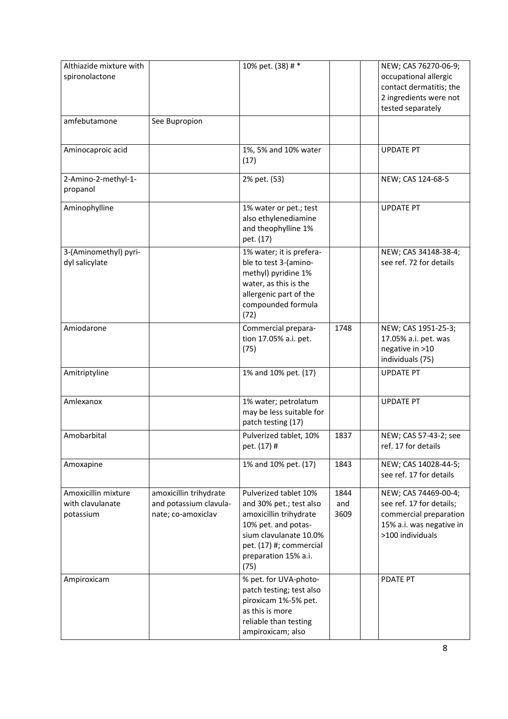| Althiazide mixture with<br>spironolactone            |                                                                        | 10% pet. (38) # *                                                                                                                                                                      |                     | NEW; CAS 76270-06-9;<br>occupational allergic<br>contact dermatitis; the<br>2 ingredients were not<br>tested separately    |
|------------------------------------------------------|------------------------------------------------------------------------|----------------------------------------------------------------------------------------------------------------------------------------------------------------------------------------|---------------------|----------------------------------------------------------------------------------------------------------------------------|
| amfebutamone                                         | See Bupropion                                                          |                                                                                                                                                                                        |                     |                                                                                                                            |
| Aminocaproic acid                                    |                                                                        | 1%, 5% and 10% water<br>(17)                                                                                                                                                           |                     | <b>UPDATE PT</b>                                                                                                           |
| 2-Amino-2-methyl-1-<br>propanol                      |                                                                        | 2% pet. (53)                                                                                                                                                                           |                     | NEW; CAS 124-68-5                                                                                                          |
| Aminophylline                                        |                                                                        | 1% water or pet.; test<br>also ethylenediamine<br>and theophylline 1%<br>pet. (17)                                                                                                     |                     | <b>UPDATE PT</b>                                                                                                           |
| 3-(Aminomethyl) pyri-<br>dyl salicylate              |                                                                        | 1% water; it is prefera-<br>ble to test 3-(amino-<br>methyl) pyridine 1%<br>water, as this is the<br>allergenic part of the<br>compounded formula<br>(72)                              |                     | NEW; CAS 34148-38-4;<br>see ref. 72 for details                                                                            |
| Amiodarone                                           |                                                                        | Commercial prepara-<br>tion 17.05% a.i. pet.<br>(75)                                                                                                                                   | 1748                | NEW; CAS 1951-25-3;<br>17.05% a.i. pet. was<br>negative in >10<br>individuals (75)                                         |
| Amitriptyline                                        |                                                                        | 1% and 10% pet. (17)                                                                                                                                                                   |                     | <b>UPDATE PT</b>                                                                                                           |
| Amlexanox                                            |                                                                        | 1% water; petrolatum<br>may be less suitable for<br>patch testing (17)                                                                                                                 |                     | <b>UPDATE PT</b>                                                                                                           |
| Amobarbital                                          |                                                                        | Pulverized tablet, 10%<br>pet. (17) #                                                                                                                                                  | 1837                | NEW; CAS 57-43-2; see<br>ref. 17 for details                                                                               |
| Amoxapine                                            |                                                                        | 1% and 10% pet. (17)                                                                                                                                                                   | 1843                | NEW; CAS 14028-44-5;<br>see ref. 17 for details                                                                            |
| Amoxicillin mixture<br>with clavulanate<br>potassium | amoxicillin trihydrate<br>and potassium clavula-<br>nate; co-amoxiclav | Pulverized tablet 10%<br>and 30% pet.; test also<br>amoxicillin trihydrate<br>10% pet. and potas-<br>sium clavulanate 10.0%<br>pet. (17) #; commercial<br>preparation 15% a.i.<br>(75) | 1844<br>and<br>3609 | NEW; CAS 74469-00-4;<br>see ref. 17 for details;<br>commercial preparation<br>15% a.i. was negative in<br>>100 individuals |
| Ampiroxicam                                          |                                                                        | % pet. for UVA-photo-<br>patch testing; test also<br>piroxicam 1%-5% pet.<br>as this is more<br>reliable than testing<br>ampiroxicam; also                                             |                     | PDATE PT                                                                                                                   |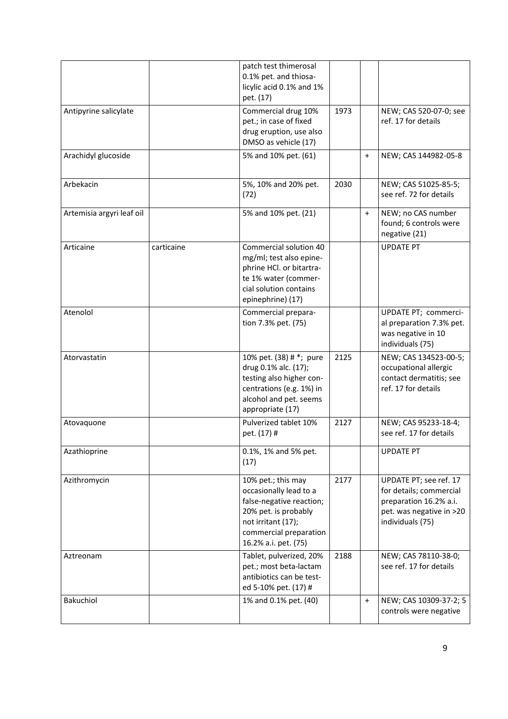|                           |            | patch test thimerosal<br>0.1% pet. and thiosa-<br>licylic acid 0.1% and 1%<br>pet. (17)                                                                                  |      |           |                                                                                                                             |
|---------------------------|------------|--------------------------------------------------------------------------------------------------------------------------------------------------------------------------|------|-----------|-----------------------------------------------------------------------------------------------------------------------------|
| Antipyrine salicylate     |            | Commercial drug 10%<br>pet.; in case of fixed<br>drug eruption, use also<br>DMSO as vehicle (17)                                                                         | 1973 |           | NEW; CAS 520-07-0; see<br>ref. 17 for details                                                                               |
| Arachidyl glucoside       |            | 5% and 10% pet. (61)                                                                                                                                                     |      | $\ddot{}$ | NEW; CAS 144982-05-8                                                                                                        |
| Arbekacin                 |            | 5%, 10% and 20% pet.<br>(72)                                                                                                                                             | 2030 |           | NEW; CAS 51025-85-5;<br>see ref. 72 for details                                                                             |
| Artemisia argyri leaf oil |            | 5% and 10% pet. (21)                                                                                                                                                     |      | $+$       | NEW; no CAS number<br>found; 6 controls were<br>negative (21)                                                               |
| Articaine                 | carticaine | Commercial solution 40<br>mg/ml; test also epine-<br>phrine HCl. or bitartra-<br>te 1% water (commer-<br>cial solution contains<br>epinephrine) (17)                     |      |           | <b>UPDATE PT</b>                                                                                                            |
| Atenolol                  |            | Commercial prepara-<br>tion 7.3% pet. (75)                                                                                                                               |      |           | UPDATE PT; commerci-<br>al preparation 7.3% pet.<br>was negative in 10<br>individuals (75)                                  |
| Atorvastatin              |            | 10% pet. (38) # *; pure<br>drug 0.1% alc. (17);<br>testing also higher con-<br>centrations (e.g. 1%) in<br>alcohol and pet. seems<br>appropriate (17)                    | 2125 |           | NEW; CAS 134523-00-5;<br>occupational allergic<br>contact dermatitis; see<br>ref. 17 for details                            |
| Atovaquone                |            | Pulverized tablet 10%<br>pet. (17) #                                                                                                                                     | 2127 |           | NEW; CAS 95233-18-4;<br>see ref. 17 for details                                                                             |
| Azathioprine              |            | 0.1%, 1% and 5% pet.<br>(17)                                                                                                                                             |      |           | <b>UPDATE PT</b>                                                                                                            |
| Azithromycin              |            | 10% pet.; this may<br>occasionally lead to a<br>false-negative reaction;<br>20% pet. is probably<br>not irritant (17);<br>commercial preparation<br>16.2% a.i. pet. (75) | 2177 |           | UPDATE PT; see ref. 17<br>for details; commercial<br>preparation 16.2% a.i.<br>pet. was negative in >20<br>individuals (75) |
| Aztreonam                 |            | Tablet, pulverized, 20%<br>pet.; most beta-lactam<br>antibiotics can be test-<br>ed 5-10% pet. (17) #                                                                    | 2188 |           | NEW; CAS 78110-38-0;<br>see ref. 17 for details                                                                             |
| Bakuchiol                 |            | 1% and 0.1% pet. (40)                                                                                                                                                    |      | $\ddot{}$ | NEW; CAS 10309-37-2; 5<br>controls were negative                                                                            |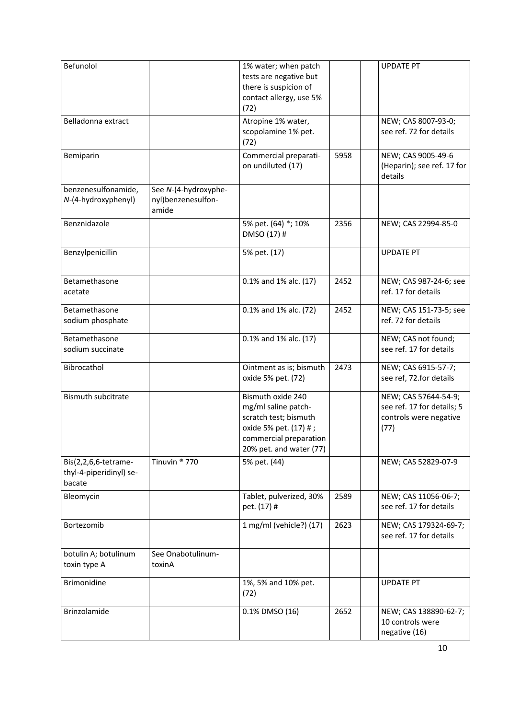| Befunolol                                                 |                                                     | 1% water; when patch<br>tests are negative but<br>there is suspicion of<br>contact allergy, use 5%<br>(72)                                      |      | <b>UPDATE PT</b>                                                                     |
|-----------------------------------------------------------|-----------------------------------------------------|-------------------------------------------------------------------------------------------------------------------------------------------------|------|--------------------------------------------------------------------------------------|
| Belladonna extract                                        |                                                     | Atropine 1% water,<br>scopolamine 1% pet.<br>(72)                                                                                               |      | NEW; CAS 8007-93-0;<br>see ref. 72 for details                                       |
| Bemiparin                                                 |                                                     | Commercial preparati-<br>on undiluted (17)                                                                                                      | 5958 | NEW; CAS 9005-49-6<br>(Heparin); see ref. 17 for<br>details                          |
| benzenesulfonamide,<br>N-(4-hydroxyphenyl)                | See N-(4-hydroxyphe-<br>nyl)benzenesulfon-<br>amide |                                                                                                                                                 |      |                                                                                      |
| Benznidazole                                              |                                                     | 5% pet. (64) *; 10%<br>DMSO (17) #                                                                                                              | 2356 | NEW; CAS 22994-85-0                                                                  |
| Benzylpenicillin                                          |                                                     | 5% pet. (17)                                                                                                                                    |      | <b>UPDATE PT</b>                                                                     |
| Betamethasone<br>acetate                                  |                                                     | 0.1% and 1% alc. (17)                                                                                                                           | 2452 | NEW; CAS 987-24-6; see<br>ref. 17 for details                                        |
| Betamethasone<br>sodium phosphate                         |                                                     | 0.1% and 1% alc. (72)                                                                                                                           | 2452 | NEW; CAS 151-73-5; see<br>ref. 72 for details                                        |
| Betamethasone<br>sodium succinate                         |                                                     | 0.1% and 1% alc. (17)                                                                                                                           |      | NEW; CAS not found;<br>see ref. 17 for details                                       |
| Bibrocathol                                               |                                                     | Ointment as is; bismuth<br>oxide 5% pet. (72)                                                                                                   | 2473 | NEW; CAS 6915-57-7;<br>see ref, 72.for details                                       |
| <b>Bismuth subcitrate</b>                                 |                                                     | Bismuth oxide 240<br>mg/ml saline patch-<br>scratch test; bismuth<br>oxide 5% pet. (17) #;<br>commercial preparation<br>20% pet. and water (77) |      | NEW; CAS 57644-54-9;<br>see ref. 17 for details; 5<br>controls were negative<br>(77) |
| Bis(2,2,6,6-tetrame-<br>thyl-4-piperidinyl) se-<br>bacate | Tinuvin <sup>®</sup> 770                            | 5% pet. (44)                                                                                                                                    |      | NEW; CAS 52829-07-9                                                                  |
| Bleomycin                                                 |                                                     | Tablet, pulverized, 30%<br>pet. (17) #                                                                                                          | 2589 | NEW; CAS 11056-06-7;<br>see ref. 17 for details                                      |
| Bortezomib                                                |                                                     | 1 mg/ml (vehicle?) (17)                                                                                                                         | 2623 | NEW; CAS 179324-69-7;<br>see ref. 17 for details                                     |
| botulin A; botulinum<br>toxin type A                      | See Onabotulinum-<br>toxinA                         |                                                                                                                                                 |      |                                                                                      |
| <b>Brimonidine</b>                                        |                                                     | 1%, 5% and 10% pet.<br>(72)                                                                                                                     |      | <b>UPDATE PT</b>                                                                     |
| Brinzolamide                                              |                                                     | 0.1% DMSO (16)                                                                                                                                  | 2652 | NEW; CAS 138890-62-7;<br>10 controls were<br>negative (16)                           |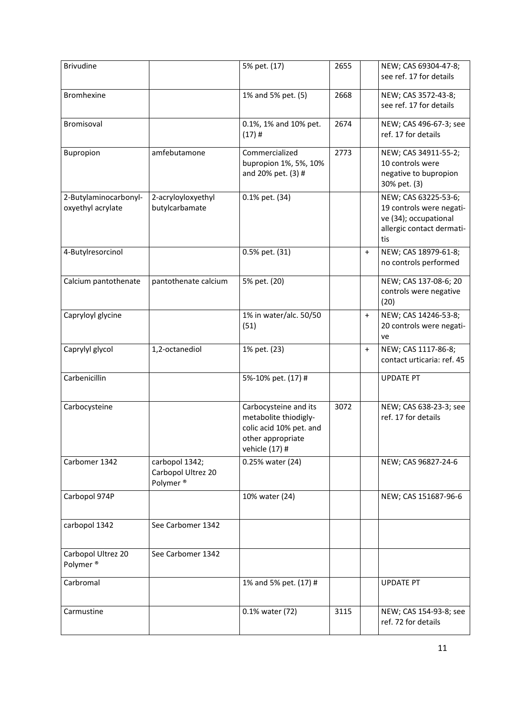| <b>Brivudine</b>                           |                                                              | 5% pet. (17)                                                                                                     | 2655 |           | NEW; CAS 69304-47-8;<br>see ref. 17 for details                                                               |
|--------------------------------------------|--------------------------------------------------------------|------------------------------------------------------------------------------------------------------------------|------|-----------|---------------------------------------------------------------------------------------------------------------|
| <b>Bromhexine</b>                          |                                                              | 1% and 5% pet. (5)                                                                                               | 2668 |           | NEW; CAS 3572-43-8;<br>see ref. 17 for details                                                                |
| Bromisoval                                 |                                                              | 0.1%, 1% and 10% pet.<br>$(17)$ #                                                                                | 2674 |           | NEW; CAS 496-67-3; see<br>ref. 17 for details                                                                 |
| Bupropion                                  | amfebutamone                                                 | Commercialized<br>bupropion 1%, 5%, 10%<br>and 20% pet. (3) #                                                    | 2773 |           | NEW; CAS 34911-55-2;<br>10 controls were<br>negative to bupropion<br>30% pet. (3)                             |
| 2-Butylaminocarbonyl-<br>oxyethyl acrylate | 2-acryloyloxyethyl<br>butylcarbamate                         | 0.1% pet. (34)                                                                                                   |      |           | NEW; CAS 63225-53-6;<br>19 controls were negati-<br>ve (34); occupational<br>allergic contact dermati-<br>tis |
| 4-Butylresorcinol                          |                                                              | 0.5% pet. (31)                                                                                                   |      | $\ddot{}$ | NEW; CAS 18979-61-8;<br>no controls performed                                                                 |
| Calcium pantothenate                       | pantothenate calcium                                         | 5% pet. (20)                                                                                                     |      |           | NEW; CAS 137-08-6; 20<br>controls were negative<br>(20)                                                       |
| Capryloyl glycine                          |                                                              | 1% in water/alc. 50/50<br>(51)                                                                                   |      | $\ddot{}$ | NEW; CAS 14246-53-8;<br>20 controls were negati-<br>ve                                                        |
| Caprylyl glycol                            | 1,2-octanediol                                               | 1% pet. (23)                                                                                                     |      | $\ddot{}$ | NEW; CAS 1117-86-8;<br>contact urticaria: ref. 45                                                             |
| Carbenicillin                              |                                                              | 5%-10% pet. (17) #                                                                                               |      |           | <b>UPDATE PT</b>                                                                                              |
| Carbocysteine                              |                                                              | Carbocysteine and its<br>metabolite thiodigly-<br>colic acid 10% pet. and<br>other appropriate<br>vehicle (17) # | 3072 |           | NEW; CAS 638-23-3; see<br>ref. 17 for details                                                                 |
| Carbomer 1342                              | carbopol 1342;<br>Carbopol Ultrez 20<br>Polymer <sup>®</sup> | 0.25% water (24)                                                                                                 |      |           | NEW; CAS 96827-24-6                                                                                           |
| Carbopol 974P                              |                                                              | 10% water (24)                                                                                                   |      |           | NEW; CAS 151687-96-6                                                                                          |
| carbopol 1342                              | See Carbomer 1342                                            |                                                                                                                  |      |           |                                                                                                               |
| Carbopol Ultrez 20<br>Polymer <sup>®</sup> | See Carbomer 1342                                            |                                                                                                                  |      |           |                                                                                                               |
| Carbromal                                  |                                                              | 1% and 5% pet. (17) #                                                                                            |      |           | <b>UPDATE PT</b>                                                                                              |
| Carmustine                                 |                                                              | 0.1% water (72)                                                                                                  | 3115 |           | NEW; CAS 154-93-8; see<br>ref. 72 for details                                                                 |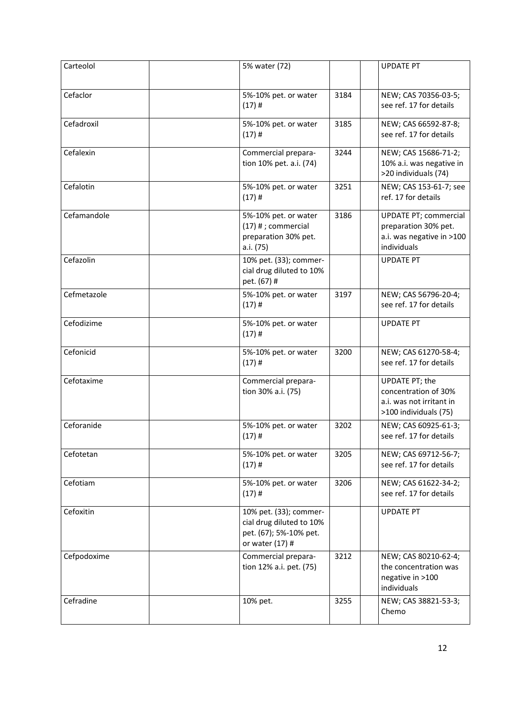| Carteolol   | 5% water (72)                                                                                   |      | <b>UPDATE PT</b>                                                                                 |
|-------------|-------------------------------------------------------------------------------------------------|------|--------------------------------------------------------------------------------------------------|
| Cefaclor    | 5%-10% pet. or water<br>$(17)$ #                                                                | 3184 | NEW; CAS 70356-03-5;<br>see ref. 17 for details                                                  |
| Cefadroxil  | 5%-10% pet. or water<br>$(17)$ #                                                                | 3185 | NEW; CAS 66592-87-8;<br>see ref. 17 for details                                                  |
| Cefalexin   | Commercial prepara-<br>tion 10% pet. a.i. (74)                                                  | 3244 | NEW; CAS 15686-71-2;<br>10% a.i. was negative in<br>>20 individuals (74)                         |
| Cefalotin   | 5%-10% pet. or water<br>$(17)$ #                                                                | 3251 | NEW; CAS 153-61-7; see<br>ref. 17 for details                                                    |
| Cefamandole | 5%-10% pet. or water<br>$(17)$ # ; commercial<br>preparation 30% pet.<br>a.i. (75)              | 3186 | <b>UPDATE PT; commercial</b><br>preparation 30% pet.<br>a.i. was negative in >100<br>individuals |
| Cefazolin   | 10% pet. (33); commer-<br>cial drug diluted to 10%<br>pet. (67) #                               |      | <b>UPDATE PT</b>                                                                                 |
| Cefmetazole | 5%-10% pet. or water<br>$(17)$ #                                                                | 3197 | NEW; CAS 56796-20-4;<br>see ref. 17 for details                                                  |
| Cefodizime  | 5%-10% pet. or water<br>$(17)$ #                                                                |      | <b>UPDATE PT</b>                                                                                 |
| Cefonicid   | 5%-10% pet. or water<br>$(17)$ #                                                                | 3200 | NEW; CAS 61270-58-4;<br>see ref. 17 for details                                                  |
| Cefotaxime  | Commercial prepara-<br>tion 30% a.i. (75)                                                       |      | UPDATE PT; the<br>concentration of 30%<br>a.i. was not irritant in<br>>100 individuals (75)      |
| Ceforanide  | 5%-10% pet. or water<br>$(17)$ #                                                                | 3202 | NEW; CAS 60925-61-3;<br>see ref. 17 for details                                                  |
| Cefotetan   | 5%-10% pet. or water<br>$(17)$ #                                                                | 3205 | NEW; CAS 69712-56-7;<br>see ref. 17 for details                                                  |
| Cefotiam    | 5%-10% pet. or water<br>$(17)$ #                                                                | 3206 | NEW; CAS 61622-34-2;<br>see ref. 17 for details                                                  |
| Cefoxitin   | 10% pet. (33); commer-<br>cial drug diluted to 10%<br>pet. (67); 5%-10% pet.<br>or water (17) # |      | <b>UPDATE PT</b>                                                                                 |
| Cefpodoxime | Commercial prepara-<br>tion 12% a.i. pet. (75)                                                  | 3212 | NEW; CAS 80210-62-4;<br>the concentration was<br>negative in >100<br>individuals                 |
| Cefradine   | 10% pet.                                                                                        | 3255 | NEW; CAS 38821-53-3;<br>Chemo                                                                    |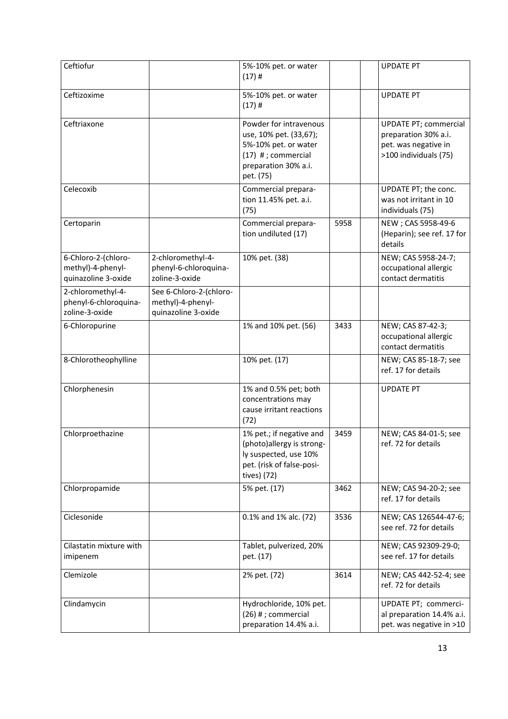| Ceftiofur                                                       |                                                                     | 5%-10% pet. or water<br>$(17)$ #                                                                                                      |      | <b>UPDATE PT</b>                                                                                      |
|-----------------------------------------------------------------|---------------------------------------------------------------------|---------------------------------------------------------------------------------------------------------------------------------------|------|-------------------------------------------------------------------------------------------------------|
| Ceftizoxime                                                     |                                                                     | 5%-10% pet. or water<br>$(17)$ #                                                                                                      |      | <b>UPDATE PT</b>                                                                                      |
| Ceftriaxone                                                     |                                                                     | Powder for intravenous<br>use, 10% pet. (33,67);<br>5%-10% pet. or water<br>$(17)$ #; commercial<br>preparation 30% a.i.<br>pet. (75) |      | <b>UPDATE PT; commercial</b><br>preparation 30% a.i.<br>pet. was negative in<br>>100 individuals (75) |
| Celecoxib                                                       |                                                                     | Commercial prepara-<br>tion 11.45% pet. a.i.<br>(75)                                                                                  |      | UPDATE PT; the conc.<br>was not irritant in 10<br>individuals (75)                                    |
| Certoparin                                                      |                                                                     | Commercial prepara-<br>tion undiluted (17)                                                                                            | 5958 | NEW; CAS 5958-49-6<br>(Heparin); see ref. 17 for<br>details                                           |
| 6-Chloro-2-(chloro-<br>methyl)-4-phenyl-<br>quinazoline 3-oxide | 2-chloromethyl-4-<br>phenyl-6-chloroquina-<br>zoline-3-oxide        | 10% pet. (38)                                                                                                                         |      | NEW; CAS 5958-24-7;<br>occupational allergic<br>contact dermatitis                                    |
| 2-chloromethyl-4-<br>phenyl-6-chloroquina-<br>zoline-3-oxide    | See 6-Chloro-2-(chloro-<br>methyl)-4-phenyl-<br>quinazoline 3-oxide |                                                                                                                                       |      |                                                                                                       |
| 6-Chloropurine                                                  |                                                                     | 1% and 10% pet. (56)                                                                                                                  | 3433 | NEW; CAS 87-42-3;<br>occupational allergic<br>contact dermatitis                                      |
| 8-Chlorotheophylline                                            |                                                                     | 10% pet. (17)                                                                                                                         |      | NEW; CAS 85-18-7; see<br>ref. 17 for details                                                          |
| Chlorphenesin                                                   |                                                                     | 1% and 0.5% pet; both<br>concentrations may<br>cause irritant reactions<br>(72)                                                       |      | <b>UPDATE PT</b>                                                                                      |
| Chlorproethazine                                                |                                                                     | 1% pet.; if negative and<br>(photo)allergy is strong-<br>ly suspected, use 10%<br>pet. (risk of false-posi-<br>tives) (72)            | 3459 | NEW; CAS 84-01-5; see<br>ref. 72 for details                                                          |
| Chlorpropamide                                                  |                                                                     | 5% pet. (17)                                                                                                                          | 3462 | NEW; CAS 94-20-2; see<br>ref. 17 for details                                                          |
| Ciclesonide                                                     |                                                                     | 0.1% and 1% alc. (72)                                                                                                                 | 3536 | NEW; CAS 126544-47-6;<br>see ref. 72 for details                                                      |
| Cilastatin mixture with<br>imipenem                             |                                                                     | Tablet, pulverized, 20%<br>pet. (17)                                                                                                  |      | NEW; CAS 92309-29-0;<br>see ref. 17 for details                                                       |
| Clemizole                                                       |                                                                     | 2% pet. (72)                                                                                                                          | 3614 | NEW; CAS 442-52-4; see<br>ref. 72 for details                                                         |
| Clindamycin                                                     |                                                                     | Hydrochloride, 10% pet.<br>(26) # ; commercial<br>preparation 14.4% a.i.                                                              |      | UPDATE PT; commerci-<br>al preparation 14.4% a.i.<br>pet. was negative in >10                         |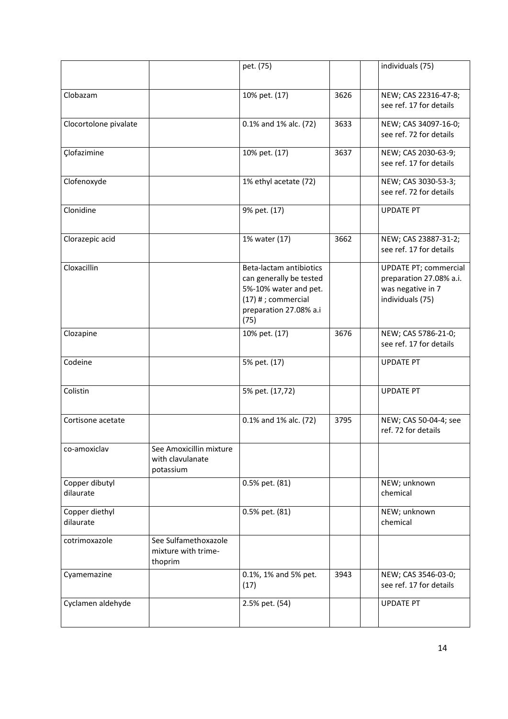|                             |                                                          | pet. (75)                                                                                                                              |      | individuals (75)                                                                                 |
|-----------------------------|----------------------------------------------------------|----------------------------------------------------------------------------------------------------------------------------------------|------|--------------------------------------------------------------------------------------------------|
| Clobazam                    |                                                          | 10% pet. (17)                                                                                                                          | 3626 | NEW; CAS 22316-47-8;<br>see ref. 17 for details                                                  |
| Clocortolone pivalate       |                                                          | 0.1% and 1% alc. (72)                                                                                                                  | 3633 | NEW; CAS 34097-16-0;<br>see ref. 72 for details                                                  |
| Çlofazimine                 |                                                          | 10% pet. (17)                                                                                                                          | 3637 | NEW; CAS 2030-63-9;<br>see ref. 17 for details                                                   |
| Clofenoxyde                 |                                                          | 1% ethyl acetate (72)                                                                                                                  |      | NEW; CAS 3030-53-3;<br>see ref. 72 for details                                                   |
| Clonidine                   |                                                          | 9% pet. (17)                                                                                                                           |      | <b>UPDATE PT</b>                                                                                 |
| Clorazepic acid             |                                                          | 1% water (17)                                                                                                                          | 3662 | NEW; CAS 23887-31-2;<br>see ref. 17 for details                                                  |
| Cloxacillin                 |                                                          | Beta-lactam antibiotics<br>can generally be tested<br>5%-10% water and pet.<br>$(17)$ # ; commercial<br>preparation 27.08% a.i<br>(75) |      | <b>UPDATE PT; commercial</b><br>preparation 27.08% a.i.<br>was negative in 7<br>individuals (75) |
| Clozapine                   |                                                          | 10% pet. (17)                                                                                                                          | 3676 | NEW; CAS 5786-21-0;<br>see ref. 17 for details                                                   |
| Codeine                     |                                                          | 5% pet. (17)                                                                                                                           |      | <b>UPDATE PT</b>                                                                                 |
| Colistin                    |                                                          | 5% pet. (17,72)                                                                                                                        |      | <b>UPDATE PT</b>                                                                                 |
| Cortisone acetate           |                                                          | 0.1% and 1% alc. (72)                                                                                                                  | 3795 | NEW; CAS 50-04-4; see<br>ref. 72 for details                                                     |
| co-amoxiclav                | See Amoxicillin mixture<br>with clavulanate<br>potassium |                                                                                                                                        |      |                                                                                                  |
| Copper dibutyl<br>dilaurate |                                                          | 0.5% pet. (81)                                                                                                                         |      | NEW; unknown<br>chemical                                                                         |
| Copper diethyl<br>dilaurate |                                                          | 0.5% pet. (81)                                                                                                                         |      | NEW; unknown<br>chemical                                                                         |
| cotrimoxazole               | See Sulfamethoxazole<br>mixture with trime-<br>thoprim   |                                                                                                                                        |      |                                                                                                  |
| Cyamemazine                 |                                                          | 0.1%, 1% and 5% pet.<br>(17)                                                                                                           | 3943 | NEW; CAS 3546-03-0;<br>see ref. 17 for details                                                   |
| Cyclamen aldehyde           |                                                          | 2.5% pet. (54)                                                                                                                         |      | <b>UPDATE PT</b>                                                                                 |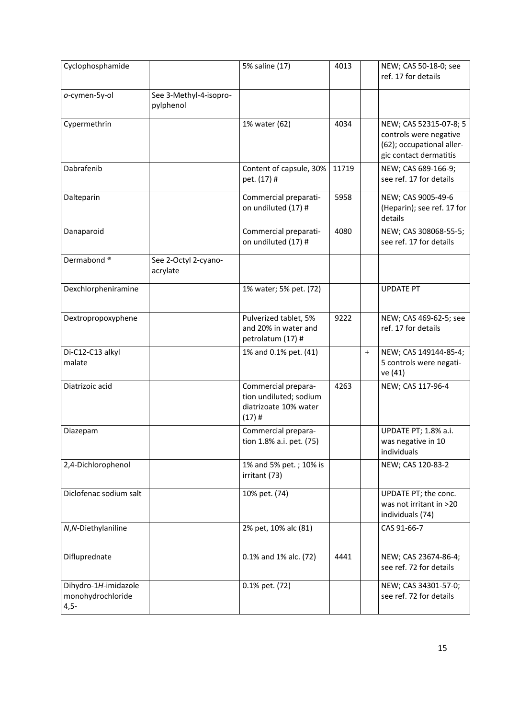| Cyclophosphamide                                    |                                     | 5% saline (17)                                                                     | 4013  |           | NEW; CAS 50-18-0; see<br>ref. 17 for details                                                            |
|-----------------------------------------------------|-------------------------------------|------------------------------------------------------------------------------------|-------|-----------|---------------------------------------------------------------------------------------------------------|
| o-cymen-5y-ol                                       | See 3-Methyl-4-isopro-<br>pylphenol |                                                                                    |       |           |                                                                                                         |
| Cypermethrin                                        |                                     | 1% water (62)                                                                      | 4034  |           | NEW; CAS 52315-07-8; 5<br>controls were negative<br>(62); occupational aller-<br>gic contact dermatitis |
| Dabrafenib                                          |                                     | Content of capsule, 30%<br>pet. (17) #                                             | 11719 |           | NEW; CAS 689-166-9;<br>see ref. 17 for details                                                          |
| Dalteparin                                          |                                     | Commercial preparati-<br>on undiluted (17) #                                       | 5958  |           | NEW; CAS 9005-49-6<br>(Heparin); see ref. 17 for<br>details                                             |
| Danaparoid                                          |                                     | Commercial preparati-<br>on undiluted (17) #                                       | 4080  |           | NEW; CAS 308068-55-5;<br>see ref. 17 for details                                                        |
| Dermabond <sup>®</sup>                              | See 2-Octyl 2-cyano-<br>acrylate    |                                                                                    |       |           |                                                                                                         |
| Dexchlorpheniramine                                 |                                     | 1% water; 5% pet. (72)                                                             |       |           | <b>UPDATE PT</b>                                                                                        |
| Dextropropoxyphene                                  |                                     | Pulverized tablet, 5%<br>and 20% in water and<br>petrolatum (17) #                 | 9222  |           | NEW; CAS 469-62-5; see<br>ref. 17 for details                                                           |
| Di-C12-C13 alkyl<br>malate                          |                                     | 1% and 0.1% pet. (41)                                                              |       | $\ddot{}$ | NEW; CAS 149144-85-4;<br>5 controls were negati-<br>ve (41)                                             |
| Diatrizoic acid                                     |                                     | Commercial prepara-<br>tion undiluted; sodium<br>diatrizoate 10% water<br>$(17)$ # | 4263  |           | NEW; CAS 117-96-4                                                                                       |
| Diazepam                                            |                                     | Commercial prepara-<br>tion 1.8% a.i. pet. (75)                                    |       |           | UPDATE PT; 1.8% a.i.<br>was negative in 10<br>individuals                                               |
| 2,4-Dichlorophenol                                  |                                     | 1% and 5% pet.; 10% is<br>irritant (73)                                            |       |           | NEW; CAS 120-83-2                                                                                       |
| Diclofenac sodium salt                              |                                     | 10% pet. (74)                                                                      |       |           | UPDATE PT; the conc.<br>was not irritant in >20<br>individuals (74)                                     |
| N,N-Diethylaniline                                  |                                     | 2% pet, 10% alc (81)                                                               |       |           | CAS 91-66-7                                                                                             |
| Difluprednate                                       |                                     | 0.1% and 1% alc. (72)                                                              | 4441  |           | NEW; CAS 23674-86-4;<br>see ref. 72 for details                                                         |
| Dihydro-1H-imidazole<br>monohydrochloride<br>$4,5-$ |                                     | 0.1% pet. (72)                                                                     |       |           | NEW; CAS 34301-57-0;<br>see ref. 72 for details                                                         |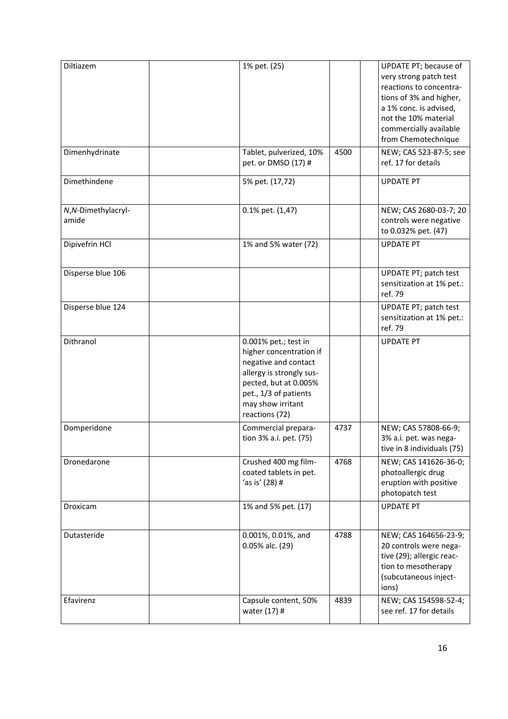| Diltiazem                   | 1% pet. (25)                                                                                                                                                                                 |      | UPDATE PT; because of<br>very strong patch test<br>reactions to concentra-<br>tions of 3% and higher,<br>a 1% conc. is advised,<br>not the 10% material<br>commercially available<br>from Chemotechnique |
|-----------------------------|----------------------------------------------------------------------------------------------------------------------------------------------------------------------------------------------|------|----------------------------------------------------------------------------------------------------------------------------------------------------------------------------------------------------------|
| Dimenhydrinate              | Tablet, pulverized, 10%<br>pet. or DMSO (17) #                                                                                                                                               | 4500 | NEW; CAS 523-87-5; see<br>ref. 17 for details                                                                                                                                                            |
| Dimethindene                | 5% pet. (17,72)                                                                                                                                                                              |      | <b>UPDATE PT</b>                                                                                                                                                                                         |
| N,N-Dimethylacryl-<br>amide | 0.1% pet. (1,47)                                                                                                                                                                             |      | NEW; CAS 2680-03-7; 20<br>controls were negative<br>to 0.032% pet. (47)                                                                                                                                  |
| Dipivefrin HCl              | 1% and 5% water (72)                                                                                                                                                                         |      | <b>UPDATE PT</b>                                                                                                                                                                                         |
| Disperse blue 106           |                                                                                                                                                                                              |      | UPDATE PT; patch test<br>sensitization at 1% pet.:<br>ref. 79                                                                                                                                            |
| Disperse blue 124           |                                                                                                                                                                                              |      | UPDATE PT; patch test<br>sensitization at 1% pet.:<br>ref. 79                                                                                                                                            |
| Dithranol                   | 0.001% pet.; test in<br>higher concentration if<br>negative and contact<br>allergy is strongly sus-<br>pected, but at 0.005%<br>pet., 1/3 of patients<br>may show irritant<br>reactions (72) |      | <b>UPDATE PT</b>                                                                                                                                                                                         |
| Domperidone                 | Commercial prepara-<br>tion 3% a.i. pet. (75)                                                                                                                                                | 4737 | NEW; CAS 57808-66-9;<br>3% a.i. pet. was nega-<br>tive in 8 individuals (75)                                                                                                                             |
| Dronedarone                 | Crushed 400 mg film-<br>coated tablets in pet.<br>'as is' (28) #                                                                                                                             | 4768 | NEW; CAS 141626-36-0;<br>photoallergic drug<br>eruption with positive<br>photopatch test                                                                                                                 |
| Droxicam                    | 1% and 5% pet. (17)                                                                                                                                                                          |      | <b>UPDATE PT</b>                                                                                                                                                                                         |
| Dutasteride                 | 0.001%, 0.01%, and<br>0.05% alc. (29)                                                                                                                                                        | 4788 | NEW; CAS 164656-23-9;<br>20 controls were nega-<br>tive (29); allergic reac-<br>tion to mesotherapy<br>(subcutaneous inject-<br>ions)                                                                    |
| Efavirenz                   | Capsule content, 50%<br>water (17) #                                                                                                                                                         | 4839 | NEW; CAS 154598-52-4;<br>see ref. 17 for details                                                                                                                                                         |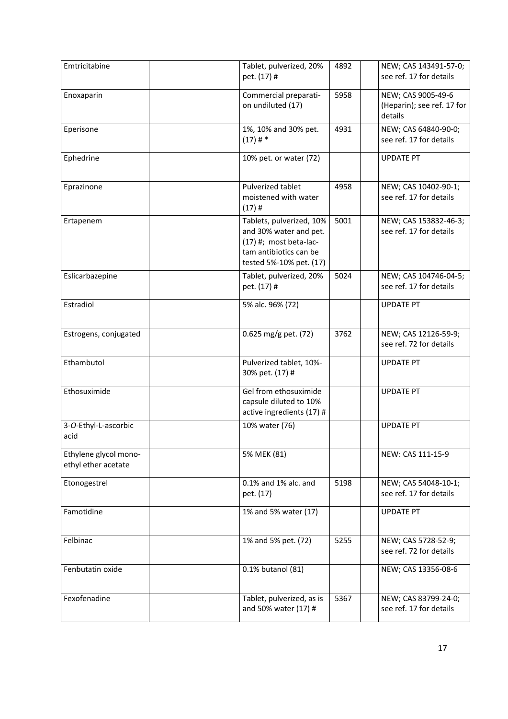| Emtricitabine                                | Tablet, pulverized, 20%<br>pet. (17) #                                                                                              | 4892 | NEW; CAS 143491-57-0;<br>see ref. 17 for details            |
|----------------------------------------------|-------------------------------------------------------------------------------------------------------------------------------------|------|-------------------------------------------------------------|
| Enoxaparin                                   | Commercial preparati-<br>on undiluted (17)                                                                                          | 5958 | NEW; CAS 9005-49-6<br>(Heparin); see ref. 17 for<br>details |
| Eperisone                                    | 1%, 10% and 30% pet.<br>$(17)$ # *                                                                                                  | 4931 | NEW; CAS 64840-90-0;<br>see ref. 17 for details             |
| Ephedrine                                    | 10% pet. or water (72)                                                                                                              |      | <b>UPDATE PT</b>                                            |
| Eprazinone                                   | Pulverized tablet<br>moistened with water<br>$(17)$ #                                                                               | 4958 | NEW; CAS 10402-90-1;<br>see ref. 17 for details             |
| Ertapenem                                    | Tablets, pulverized, 10%<br>and 30% water and pet.<br>$(17)$ #; most beta-lac-<br>tam antibiotics can be<br>tested 5%-10% pet. (17) | 5001 | NEW; CAS 153832-46-3;<br>see ref. 17 for details            |
| Eslicarbazepine                              | Tablet, pulverized, 20%<br>pet. (17) #                                                                                              | 5024 | NEW; CAS 104746-04-5;<br>see ref. 17 for details            |
| Estradiol                                    | 5% alc. 96% (72)                                                                                                                    |      | <b>UPDATE PT</b>                                            |
| Estrogens, conjugated                        | 0.625 mg/g pet. (72)                                                                                                                | 3762 | NEW; CAS 12126-59-9;<br>see ref. 72 for details             |
| Ethambutol                                   | Pulverized tablet, 10%-<br>30% pet. (17) #                                                                                          |      | <b>UPDATE PT</b>                                            |
| Ethosuximide                                 | Gel from ethosuximide<br>capsule diluted to 10%<br>active ingredients (17) #                                                        |      | <b>UPDATE PT</b>                                            |
| 3-O-Ethyl-L-ascorbic<br>acid                 | 10% water (76)                                                                                                                      |      | <b>UPDATE PT</b>                                            |
| Ethylene glycol mono-<br>ethyl ether acetate | 5% MEK (81)                                                                                                                         |      | NEW: CAS 111-15-9                                           |
| Etonogestrel                                 | 0.1% and 1% alc. and<br>pet. (17)                                                                                                   | 5198 | NEW; CAS 54048-10-1;<br>see ref. 17 for details             |
| Famotidine                                   | 1% and 5% water (17)                                                                                                                |      | <b>UPDATE PT</b>                                            |
| Felbinac                                     | 1% and 5% pet. (72)                                                                                                                 | 5255 | NEW; CAS 5728-52-9;<br>see ref. 72 for details              |
| Fenbutatin oxide                             | 0.1% butanol (81)                                                                                                                   |      | NEW; CAS 13356-08-6                                         |
| Fexofenadine                                 | Tablet, pulverized, as is<br>and 50% water (17) #                                                                                   | 5367 | NEW; CAS 83799-24-0;<br>see ref. 17 for details             |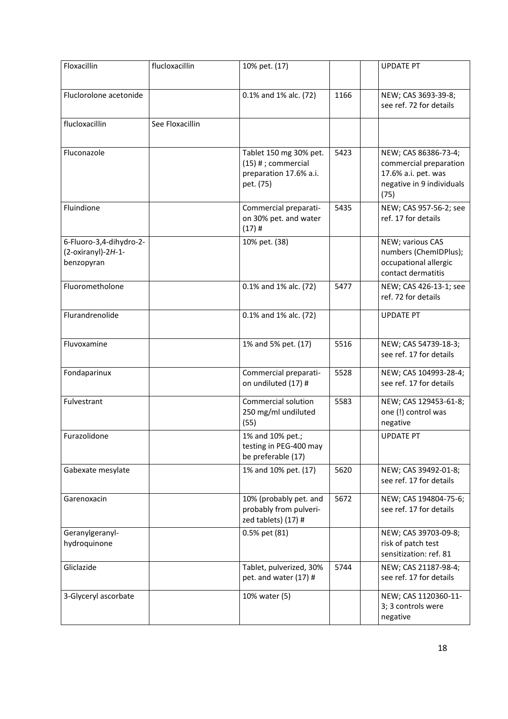| Floxacillin                                                 | flucloxacillin  | 10% pet. (17)                                                                         |      | <b>UPDATE PT</b>                                                                                           |
|-------------------------------------------------------------|-----------------|---------------------------------------------------------------------------------------|------|------------------------------------------------------------------------------------------------------------|
| Fluclorolone acetonide                                      |                 | 0.1% and 1% alc. (72)                                                                 | 1166 | NEW; CAS 3693-39-8;<br>see ref. 72 for details                                                             |
| flucloxacillin                                              | See Floxacillin |                                                                                       |      |                                                                                                            |
| Fluconazole                                                 |                 | Tablet 150 mg 30% pet.<br>$(15)$ #; commercial<br>preparation 17.6% a.i.<br>pet. (75) | 5423 | NEW; CAS 86386-73-4;<br>commercial preparation<br>17.6% a.i. pet. was<br>negative in 9 individuals<br>(75) |
| Fluindione                                                  |                 | Commercial preparati-<br>on 30% pet. and water<br>$(17)$ #                            | 5435 | NEW; CAS 957-56-2; see<br>ref. 17 for details                                                              |
| 6-Fluoro-3,4-dihydro-2-<br>(2-oxiranyl)-2H-1-<br>benzopyran |                 | 10% pet. (38)                                                                         |      | NEW; various CAS<br>numbers (ChemIDPlus);<br>occupational allergic<br>contact dermatitis                   |
| Fluorometholone                                             |                 | 0.1% and 1% alc. (72)                                                                 | 5477 | NEW; CAS 426-13-1; see<br>ref. 72 for details                                                              |
| Flurandrenolide                                             |                 | 0.1% and 1% alc. (72)                                                                 |      | <b>UPDATE PT</b>                                                                                           |
| Fluvoxamine                                                 |                 | 1% and 5% pet. (17)                                                                   | 5516 | NEW; CAS 54739-18-3;<br>see ref. 17 for details                                                            |
| Fondaparinux                                                |                 | Commercial preparati-<br>on undiluted (17) #                                          | 5528 | NEW; CAS 104993-28-4;<br>see ref. 17 for details                                                           |
| Fulvestrant                                                 |                 | Commercial solution<br>250 mg/ml undiluted<br>(55)                                    | 5583 | NEW; CAS 129453-61-8;<br>one (!) control was<br>negative                                                   |
| Furazolidone                                                |                 | 1% and 10% pet.;<br>testing in PEG-400 may<br>be preferable (17)                      |      | <b>UPDATE PT</b>                                                                                           |
| Gabexate mesylate                                           |                 | 1% and 10% pet. (17)                                                                  | 5620 | NEW; CAS 39492-01-8;<br>see ref. 17 for details                                                            |
| Garenoxacin                                                 |                 | 10% (probably pet. and<br>probably from pulveri-<br>zed tablets) (17) #               | 5672 | NEW; CAS 194804-75-6;<br>see ref. 17 for details                                                           |
| Geranylgeranyl-<br>hydroquinone                             |                 | 0.5% pet (81)                                                                         |      | NEW; CAS 39703-09-8;<br>risk of patch test<br>sensitization: ref. 81                                       |
| Gliclazide                                                  |                 | Tablet, pulverized, 30%<br>pet. and water (17) #                                      | 5744 | NEW; CAS 21187-98-4;<br>see ref. 17 for details                                                            |
| 3-Glyceryl ascorbate                                        |                 | 10% water (5)                                                                         |      | NEW; CAS 1120360-11-<br>3; 3 controls were<br>negative                                                     |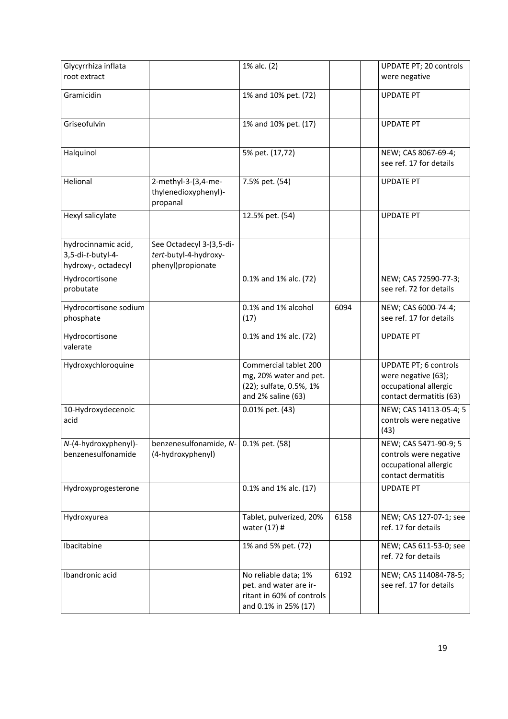| Glycyrrhiza inflata<br>root extract                             |                                                                        | 1% alc. (2)                                                                                         |      | UPDATE PT; 20 controls<br>were negative                                                                 |
|-----------------------------------------------------------------|------------------------------------------------------------------------|-----------------------------------------------------------------------------------------------------|------|---------------------------------------------------------------------------------------------------------|
| Gramicidin                                                      |                                                                        | 1% and 10% pet. (72)                                                                                |      | <b>UPDATE PT</b>                                                                                        |
| Griseofulvin                                                    |                                                                        | 1% and 10% pet. (17)                                                                                |      | <b>UPDATE PT</b>                                                                                        |
| Halquinol                                                       |                                                                        | 5% pet. (17,72)                                                                                     |      | NEW; CAS 8067-69-4;<br>see ref. 17 for details                                                          |
| Helional                                                        | 2-methyl-3-(3,4-me-<br>thylenedioxyphenyl)-<br>propanal                | 7.5% pet. (54)                                                                                      |      | <b>UPDATE PT</b>                                                                                        |
| Hexyl salicylate                                                |                                                                        | 12.5% pet. (54)                                                                                     |      | <b>UPDATE PT</b>                                                                                        |
| hydrocinnamic acid,<br>3,5-di-t-butyl-4-<br>hydroxy-, octadecyl | See Octadecyl 3-(3,5-di-<br>tert-butyl-4-hydroxy-<br>phenyl)propionate |                                                                                                     |      |                                                                                                         |
| Hydrocortisone<br>probutate                                     |                                                                        | 0.1% and 1% alc. (72)                                                                               |      | NEW; CAS 72590-77-3;<br>see ref. 72 for details                                                         |
| Hydrocortisone sodium<br>phosphate                              |                                                                        | 0.1% and 1% alcohol<br>(17)                                                                         | 6094 | NEW; CAS 6000-74-4;<br>see ref. 17 for details                                                          |
| Hydrocortisone<br>valerate                                      |                                                                        | 0.1% and 1% alc. (72)                                                                               |      | <b>UPDATE PT</b>                                                                                        |
| Hydroxychloroquine                                              |                                                                        | Commercial tablet 200<br>mg, 20% water and pet.<br>(22); sulfate, 0.5%, 1%<br>and 2% saline (63)    |      | <b>UPDATE PT; 6 controls</b><br>were negative (63);<br>occupational allergic<br>contact dermatitis (63) |
| 10-Hydroxydecenoic<br>acid                                      |                                                                        | 0.01% pet. (43)                                                                                     |      | NEW; CAS 14113-05-4; 5<br>controls were negative<br>(43)                                                |
| N-(4-hydroxyphenyl)-<br>benzenesulfonamide                      | benzenesulfonamide, $N - 0.1\%$ pet. (58)<br>(4-hydroxyphenyl)         |                                                                                                     |      | NEW; CAS 5471-90-9; 5<br>controls were negative<br>occupational allergic<br>contact dermatitis          |
| Hydroxyprogesterone                                             |                                                                        | 0.1% and 1% alc. (17)                                                                               |      | <b>UPDATE PT</b>                                                                                        |
| Hydroxyurea                                                     |                                                                        | Tablet, pulverized, 20%<br>water (17) #                                                             | 6158 | NEW; CAS 127-07-1; see<br>ref. 17 for details                                                           |
| Ibacitabine                                                     |                                                                        | 1% and 5% pet. (72)                                                                                 |      | NEW; CAS 611-53-0; see<br>ref. 72 for details                                                           |
| Ibandronic acid                                                 |                                                                        | No reliable data; 1%<br>pet. and water are ir-<br>ritant in 60% of controls<br>and 0.1% in 25% (17) | 6192 | NEW; CAS 114084-78-5;<br>see ref. 17 for details                                                        |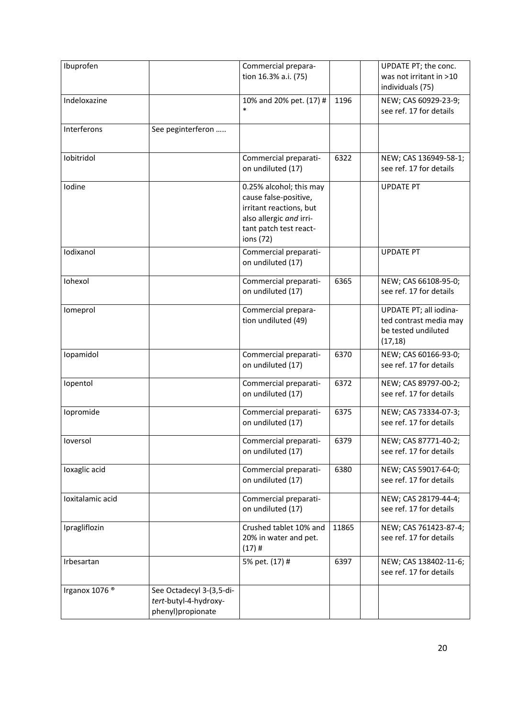| Ibuprofen                 |                                                                        | Commercial prepara-                                                                                                                           |       | UPDATE PT; the conc.                                                                |
|---------------------------|------------------------------------------------------------------------|-----------------------------------------------------------------------------------------------------------------------------------------------|-------|-------------------------------------------------------------------------------------|
|                           |                                                                        | tion 16.3% a.i. (75)                                                                                                                          |       | was not irritant in >10<br>individuals (75)                                         |
| Indeloxazine              |                                                                        | 10% and 20% pet. (17) #<br>$\ast$                                                                                                             | 1196  | NEW; CAS 60929-23-9;<br>see ref. 17 for details                                     |
| Interferons               | See peginterferon                                                      |                                                                                                                                               |       |                                                                                     |
| Iobitridol                |                                                                        | Commercial preparati-<br>on undiluted (17)                                                                                                    | 6322  | NEW; CAS 136949-58-1;<br>see ref. 17 for details                                    |
| Iodine                    |                                                                        | 0.25% alcohol; this may<br>cause false-positive,<br>irritant reactions, but<br>also allergic and irri-<br>tant patch test react-<br>ions (72) |       | <b>UPDATE PT</b>                                                                    |
| Iodixanol                 |                                                                        | Commercial preparati-<br>on undiluted (17)                                                                                                    |       | <b>UPDATE PT</b>                                                                    |
| Iohexol                   |                                                                        | Commercial preparati-<br>on undiluted (17)                                                                                                    | 6365  | NEW; CAS 66108-95-0;<br>see ref. 17 for details                                     |
| Iomeprol                  |                                                                        | Commercial prepara-<br>tion undiluted (49)                                                                                                    |       | UPDATE PT; all iodina-<br>ted contrast media may<br>be tested undiluted<br>(17, 18) |
| Iopamidol                 |                                                                        | Commercial preparati-<br>on undiluted (17)                                                                                                    | 6370  | NEW; CAS 60166-93-0;<br>see ref. 17 for details                                     |
| lopentol                  |                                                                        | Commercial preparati-<br>on undiluted (17)                                                                                                    | 6372  | NEW; CAS 89797-00-2;<br>see ref. 17 for details                                     |
| Iopromide                 |                                                                        | Commercial preparati-<br>on undiluted (17)                                                                                                    | 6375  | NEW; CAS 73334-07-3;<br>see ref. 17 for details                                     |
| loversol                  |                                                                        | Commercial preparati-<br>on undiluted (17)                                                                                                    | 6379  | NEW; CAS 87771-40-2;<br>see ref. 17 for details                                     |
| loxaglic acid             |                                                                        | Commercial preparati-<br>on undiluted (17)                                                                                                    | 6380  | NEW; CAS 59017-64-0;<br>see ref. 17 for details                                     |
| Ioxitalamic acid          |                                                                        | Commercial preparati-<br>on undiluted (17)                                                                                                    |       | NEW; CAS 28179-44-4;<br>see ref. 17 for details                                     |
| Ipragliflozin             |                                                                        | Crushed tablet 10% and<br>20% in water and pet.<br>$(17)$ #                                                                                   | 11865 | NEW; CAS 761423-87-4;<br>see ref. 17 for details                                    |
| Irbesartan                |                                                                        | 5% pet. (17) #                                                                                                                                | 6397  | NEW; CAS 138402-11-6;<br>see ref. 17 for details                                    |
| Irganox 1076 <sup>®</sup> | See Octadecyl 3-(3,5-di-<br>tert-butyl-4-hydroxy-<br>phenyl)propionate |                                                                                                                                               |       |                                                                                     |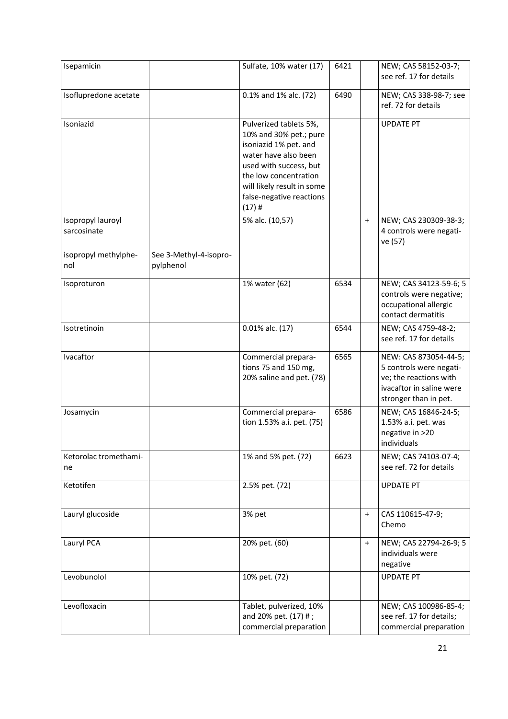| Isepamicin                       |                                     | Sulfate, 10% water (17)                                                                                                                                                                                                    | 6421 |           | NEW; CAS 58152-03-7;<br>see ref. 17 for details                                                                                 |
|----------------------------------|-------------------------------------|----------------------------------------------------------------------------------------------------------------------------------------------------------------------------------------------------------------------------|------|-----------|---------------------------------------------------------------------------------------------------------------------------------|
| Isoflupredone acetate            |                                     | 0.1% and 1% alc. (72)                                                                                                                                                                                                      | 6490 |           | NEW; CAS 338-98-7; see<br>ref. 72 for details                                                                                   |
| Isoniazid                        |                                     | Pulverized tablets 5%,<br>10% and 30% pet.; pure<br>isoniazid 1% pet. and<br>water have also been<br>used with success, but<br>the low concentration<br>will likely result in some<br>false-negative reactions<br>$(17)$ # |      |           | <b>UPDATE PT</b>                                                                                                                |
| Isopropyl lauroyl<br>sarcosinate |                                     | 5% alc. (10,57)                                                                                                                                                                                                            |      | $\ddot{}$ | NEW; CAS 230309-38-3;<br>4 controls were negati-<br>ve (57)                                                                     |
| isopropyl methylphe-<br>nol      | See 3-Methyl-4-isopro-<br>pylphenol |                                                                                                                                                                                                                            |      |           |                                                                                                                                 |
| Isoproturon                      |                                     | 1% water (62)                                                                                                                                                                                                              | 6534 |           | NEW; CAS 34123-59-6; 5<br>controls were negative;<br>occupational allergic<br>contact dermatitis                                |
| Isotretinoin                     |                                     | 0.01% alc. (17)                                                                                                                                                                                                            | 6544 |           | NEW; CAS 4759-48-2;<br>see ref. 17 for details                                                                                  |
| Ivacaftor                        |                                     | Commercial prepara-<br>tions 75 and 150 mg,<br>20% saline and pet. (78)                                                                                                                                                    | 6565 |           | NEW: CAS 873054-44-5;<br>5 controls were negati-<br>ve; the reactions with<br>ivacaftor in saline were<br>stronger than in pet. |
| Josamycin                        |                                     | Commercial prepara-<br>tion 1.53% a.i. pet. (75)                                                                                                                                                                           | 6586 |           | NEW; CAS 16846-24-5;<br>1.53% a.i. pet. was<br>negative in >20<br>individuals                                                   |
| Ketorolac tromethami-<br>ne      |                                     | 1% and 5% pet. (72)                                                                                                                                                                                                        | 6623 |           | NEW; CAS 74103-07-4;<br>see ref. 72 for details                                                                                 |
| Ketotifen                        |                                     | 2.5% pet. (72)                                                                                                                                                                                                             |      |           | <b>UPDATE PT</b>                                                                                                                |
| Lauryl glucoside                 |                                     | 3% pet                                                                                                                                                                                                                     |      | $+$       | CAS 110615-47-9;<br>Chemo                                                                                                       |
| Lauryl PCA                       |                                     | 20% pet. (60)                                                                                                                                                                                                              |      | $\ddot{}$ | NEW; CAS 22794-26-9; 5<br>individuals were<br>negative                                                                          |
| Levobunolol                      |                                     | 10% pet. (72)                                                                                                                                                                                                              |      |           | <b>UPDATE PT</b>                                                                                                                |
| Levofloxacin                     |                                     | Tablet, pulverized, 10%<br>and 20% pet. (17) #;<br>commercial preparation                                                                                                                                                  |      |           | NEW; CAS 100986-85-4;<br>see ref. 17 for details;<br>commercial preparation                                                     |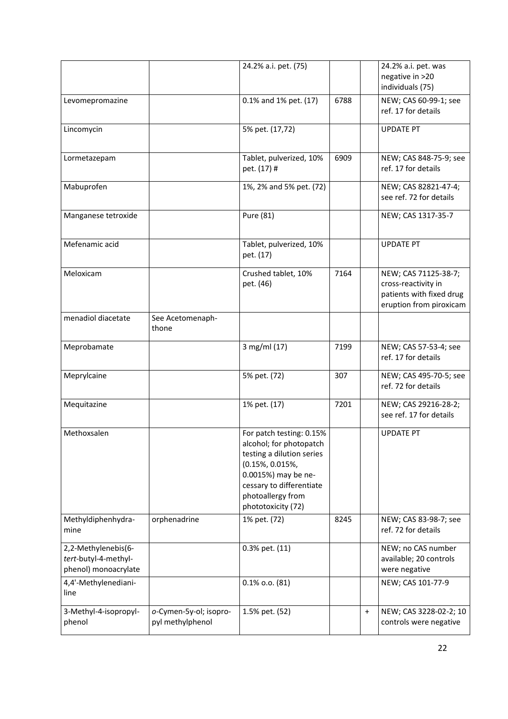|                       |                        | 24.2% a.i. pet. (75)      |      | 24.2% a.i. pet. was                          |
|-----------------------|------------------------|---------------------------|------|----------------------------------------------|
|                       |                        |                           |      | negative in >20                              |
|                       |                        |                           |      | individuals (75)                             |
| Levomepromazine       |                        | 0.1% and 1% pet. (17)     | 6788 | NEW; CAS 60-99-1; see                        |
|                       |                        |                           |      | ref. 17 for details                          |
|                       |                        |                           |      |                                              |
| Lincomycin            |                        | 5% pet. (17,72)           |      | <b>UPDATE PT</b>                             |
|                       |                        |                           |      |                                              |
|                       |                        |                           |      |                                              |
| Lormetazepam          |                        | Tablet, pulverized, 10%   | 6909 | NEW; CAS 848-75-9; see                       |
|                       |                        | pet. (17) #               |      | ref. 17 for details                          |
|                       |                        |                           |      |                                              |
| Mabuprofen            |                        | 1%, 2% and 5% pet. (72)   |      | NEW; CAS 82821-47-4;                         |
|                       |                        |                           |      | see ref. 72 for details                      |
| Manganese tetroxide   |                        | Pure (81)                 |      | NEW; CAS 1317-35-7                           |
|                       |                        |                           |      |                                              |
|                       |                        |                           |      |                                              |
| Mefenamic acid        |                        | Tablet, pulverized, 10%   |      | <b>UPDATE PT</b>                             |
|                       |                        | pet. (17)                 |      |                                              |
|                       |                        |                           |      |                                              |
| Meloxicam             |                        | Crushed tablet, 10%       | 7164 | NEW; CAS 71125-38-7;                         |
|                       |                        | pet. (46)                 |      | cross-reactivity in                          |
|                       |                        |                           |      | patients with fixed drug                     |
|                       |                        |                           |      | eruption from piroxicam                      |
| menadiol diacetate    | See Acetomenaph-       |                           |      |                                              |
|                       | thone                  |                           |      |                                              |
|                       |                        |                           |      |                                              |
| Meprobamate           |                        | 3 mg/ml (17)              | 7199 | NEW; CAS 57-53-4; see                        |
|                       |                        |                           |      | ref. 17 for details                          |
|                       |                        |                           |      |                                              |
| Meprylcaine           |                        | 5% pet. (72)              | 307  | NEW; CAS 495-70-5; see                       |
|                       |                        |                           |      | ref. 72 for details                          |
| Mequitazine           |                        | 1% pet. (17)              | 7201 | NEW; CAS 29216-28-2;                         |
|                       |                        |                           |      | see ref. 17 for details                      |
|                       |                        |                           |      |                                              |
| Methoxsalen           |                        | For patch testing: 0.15%  |      | <b>UPDATE PT</b>                             |
|                       |                        | alcohol; for photopatch   |      |                                              |
|                       |                        | testing a dilution series |      |                                              |
|                       |                        | (0.15%, 0.015%,           |      |                                              |
|                       |                        | 0.0015%) may be ne-       |      |                                              |
|                       |                        | cessary to differentiate  |      |                                              |
|                       |                        | photoallergy from         |      |                                              |
|                       |                        | phototoxicity (72)        |      |                                              |
|                       |                        |                           |      |                                              |
| Methyldiphenhydra-    | orphenadrine           | 1% pet. (72)              | 8245 | NEW; CAS 83-98-7; see<br>ref. 72 for details |
| mine                  |                        |                           |      |                                              |
| 2,2-Methylenebis(6-   |                        | 0.3% pet. (11)            |      | NEW; no CAS number                           |
| tert-butyl-4-methyl-  |                        |                           |      | available; 20 controls                       |
| phenol) monoacrylate  |                        |                           |      | were negative                                |
|                       |                        |                           |      |                                              |
| 4,4'-Methylenediani-  |                        | $0.1\%$ 0.0. $(81)$       |      | NEW; CAS 101-77-9                            |
| line                  |                        |                           |      |                                              |
| 3-Methyl-4-isopropyl- | o-Cymen-5y-ol; isopro- | 1.5% pet. (52)            |      | NEW; CAS 3228-02-2; 10<br>$\ddot{}$          |
| phenol                | pyl methylphenol       |                           |      | controls were negative                       |
|                       |                        |                           |      |                                              |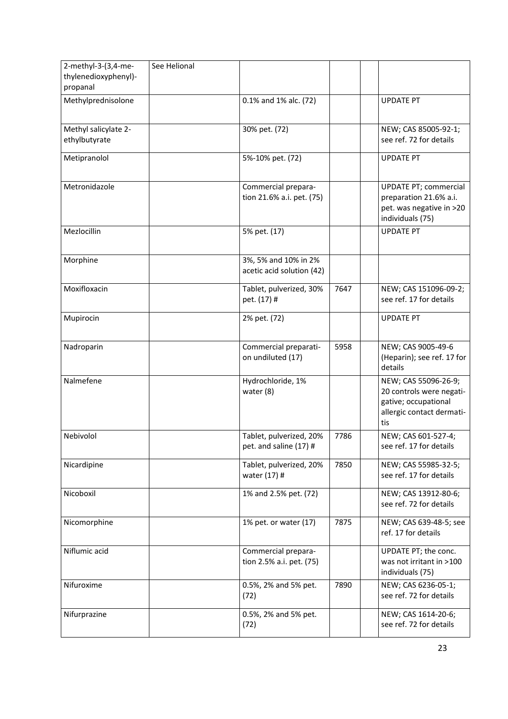| 2-methyl-3-(3,4-me-<br>thylenedioxyphenyl)- | See Helional |                                                   |      |                                                                                                              |
|---------------------------------------------|--------------|---------------------------------------------------|------|--------------------------------------------------------------------------------------------------------------|
| propanal                                    |              |                                                   |      |                                                                                                              |
| Methylprednisolone                          |              | 0.1% and 1% alc. (72)                             |      | <b>UPDATE PT</b>                                                                                             |
| Methyl salicylate 2-<br>ethylbutyrate       |              | 30% pet. (72)                                     |      | NEW; CAS 85005-92-1;<br>see ref. 72 for details                                                              |
| Metipranolol                                |              | 5%-10% pet. (72)                                  |      | <b>UPDATE PT</b>                                                                                             |
| Metronidazole                               |              | Commercial prepara-<br>tion 21.6% a.i. pet. (75)  |      | <b>UPDATE PT; commercial</b><br>preparation 21.6% a.i.<br>pet. was negative in >20<br>individuals (75)       |
| Mezlocillin                                 |              | 5% pet. (17)                                      |      | <b>UPDATE PT</b>                                                                                             |
| Morphine                                    |              | 3%, 5% and 10% in 2%<br>acetic acid solution (42) |      |                                                                                                              |
| Moxifloxacin                                |              | Tablet, pulverized, 30%<br>pet. (17) #            | 7647 | NEW; CAS 151096-09-2;<br>see ref. 17 for details                                                             |
| Mupirocin                                   |              | 2% pet. (72)                                      |      | <b>UPDATE PT</b>                                                                                             |
| Nadroparin                                  |              | Commercial preparati-<br>on undiluted (17)        | 5958 | NEW; CAS 9005-49-6<br>(Heparin); see ref. 17 for<br>details                                                  |
| Nalmefene                                   |              | Hydrochloride, 1%<br>water (8)                    |      | NEW; CAS 55096-26-9;<br>20 controls were negati-<br>gative; occupational<br>allergic contact dermati-<br>tis |
| Nebivolol                                   |              | Tablet, pulverized, 20%<br>pet. and saline (17) # | 7786 | NEW; CAS 601-527-4;<br>see ref. 17 for details                                                               |
| Nicardipine                                 |              | Tablet, pulverized, 20%<br>water (17) #           | 7850 | NEW; CAS 55985-32-5;<br>see ref. 17 for details                                                              |
| Nicoboxil                                   |              | 1% and 2.5% pet. (72)                             |      | NEW; CAS 13912-80-6;<br>see ref. 72 for details                                                              |
| Nicomorphine                                |              | 1% pet. or water (17)                             | 7875 | NEW; CAS 639-48-5; see<br>ref. 17 for details                                                                |
| Niflumic acid                               |              | Commercial prepara-<br>tion 2.5% a.i. pet. (75)   |      | UPDATE PT; the conc.<br>was not irritant in >100<br>individuals (75)                                         |
| Nifuroxime                                  |              | 0.5%, 2% and 5% pet.<br>(72)                      | 7890 | NEW; CAS 6236-05-1;<br>see ref. 72 for details                                                               |
| Nifurprazine                                |              | 0.5%, 2% and 5% pet.<br>(72)                      |      | NEW; CAS 1614-20-6;<br>see ref. 72 for details                                                               |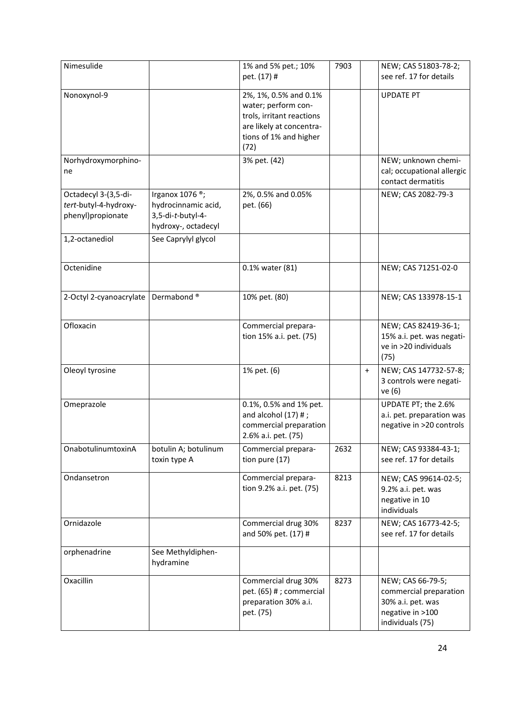| Nimesulide                                                         |                                                                                                | 1% and 5% pet.; 10%<br>pet. (17) #                                                                                                      | 7903 |           | NEW; CAS 51803-78-2;<br>see ref. 17 for details                                                          |
|--------------------------------------------------------------------|------------------------------------------------------------------------------------------------|-----------------------------------------------------------------------------------------------------------------------------------------|------|-----------|----------------------------------------------------------------------------------------------------------|
| Nonoxynol-9                                                        |                                                                                                | 2%, 1%, 0.5% and 0.1%<br>water; perform con-<br>trols, irritant reactions<br>are likely at concentra-<br>tions of 1% and higher<br>(72) |      |           | <b>UPDATE PT</b>                                                                                         |
| Norhydroxymorphino-<br>ne                                          |                                                                                                | 3% pet. (42)                                                                                                                            |      |           | NEW; unknown chemi-<br>cal; occupational allergic<br>contact dermatitis                                  |
| Octadecyl 3-(3,5-di-<br>tert-butyl-4-hydroxy-<br>phenyl)propionate | Irganox 1076 <sup>®</sup> ;<br>hydrocinnamic acid,<br>3,5-di-t-butyl-4-<br>hydroxy-, octadecyl | 2%, 0.5% and 0.05%<br>pet. (66)                                                                                                         |      |           | NEW; CAS 2082-79-3                                                                                       |
| 1,2-octanediol                                                     | See Caprylyl glycol                                                                            |                                                                                                                                         |      |           |                                                                                                          |
| Octenidine                                                         |                                                                                                | 0.1% water (81)                                                                                                                         |      |           | NEW; CAS 71251-02-0                                                                                      |
| 2-Octyl 2-cyanoacrylate                                            | Dermabond <sup>®</sup>                                                                         | 10% pet. (80)                                                                                                                           |      |           | NEW; CAS 133978-15-1                                                                                     |
| Ofloxacin                                                          |                                                                                                | Commercial prepara-<br>tion 15% a.i. pet. (75)                                                                                          |      |           | NEW; CAS 82419-36-1;<br>15% a.i. pet. was negati-<br>ve in >20 individuals<br>(75)                       |
| Oleoyl tyrosine                                                    |                                                                                                | 1% pet. (6)                                                                                                                             |      | $\ddot{}$ | NEW; CAS 147732-57-8;<br>3 controls were negati-<br>ve (6)                                               |
| Omeprazole                                                         |                                                                                                | 0.1%, 0.5% and 1% pet.<br>and alcohol $(17)$ #;<br>commercial preparation<br>2.6% a.i. pet. (75)                                        |      |           | UPDATE PT; the 2.6%<br>a.i. pet. preparation was<br>negative in >20 controls                             |
| OnabotulinumtoxinA                                                 | botulin A; botulinum<br>toxin type A                                                           | Commercial prepara-<br>tion pure (17)                                                                                                   | 2632 |           | NEW; CAS 93384-43-1;<br>see ref. 17 for details                                                          |
| Ondansetron                                                        |                                                                                                | Commercial prepara-<br>tion 9.2% a.i. pet. (75)                                                                                         | 8213 |           | NEW; CAS 99614-02-5;<br>9.2% a.i. pet. was<br>negative in 10<br>individuals                              |
| Ornidazole                                                         |                                                                                                | Commercial drug 30%<br>and 50% pet. (17) #                                                                                              | 8237 |           | NEW; CAS 16773-42-5;<br>see ref. 17 for details                                                          |
| orphenadrine                                                       | See Methyldiphen-<br>hydramine                                                                 |                                                                                                                                         |      |           |                                                                                                          |
| Oxacillin                                                          |                                                                                                | Commercial drug 30%<br>pet. (65) # ; commercial<br>preparation 30% a.i.<br>pet. (75)                                                    | 8273 |           | NEW; CAS 66-79-5;<br>commercial preparation<br>30% a.i. pet. was<br>negative in >100<br>individuals (75) |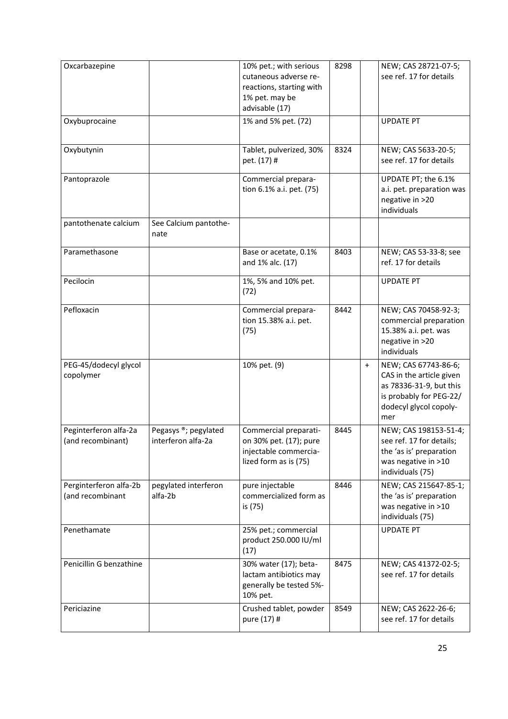| Oxcarbazepine                              |                                            | 10% pet.; with serious<br>cutaneous adverse re-<br>reactions, starting with<br>1% pet. may be<br>advisable (17) | 8298 | NEW; CAS 28721-07-5;<br>see ref. 17 for details                                                                                                      |  |
|--------------------------------------------|--------------------------------------------|-----------------------------------------------------------------------------------------------------------------|------|------------------------------------------------------------------------------------------------------------------------------------------------------|--|
| Oxybuprocaine                              |                                            | 1% and 5% pet. (72)                                                                                             |      | <b>UPDATE PT</b>                                                                                                                                     |  |
| Oxybutynin                                 |                                            | Tablet, pulverized, 30%<br>pet. (17) #                                                                          | 8324 | NEW; CAS 5633-20-5;<br>see ref. 17 for details                                                                                                       |  |
| Pantoprazole                               |                                            | Commercial prepara-<br>tion 6.1% a.i. pet. (75)                                                                 |      | UPDATE PT; the 6.1%<br>a.i. pet. preparation was<br>negative in >20<br>individuals                                                                   |  |
| pantothenate calcium                       | See Calcium pantothe-<br>nate              |                                                                                                                 |      |                                                                                                                                                      |  |
| Paramethasone                              |                                            | Base or acetate, 0.1%<br>and 1% alc. (17)                                                                       | 8403 | NEW; CAS 53-33-8; see<br>ref. 17 for details                                                                                                         |  |
| Pecilocin                                  |                                            | 1%, 5% and 10% pet.<br>(72)                                                                                     |      | <b>UPDATE PT</b>                                                                                                                                     |  |
| Pefloxacin                                 |                                            | Commercial prepara-<br>tion 15.38% a.i. pet.<br>(75)                                                            | 8442 | NEW; CAS 70458-92-3;<br>commercial preparation<br>15.38% a.i. pet. was<br>negative in >20<br>individuals                                             |  |
| PEG-45/dodecyl glycol<br>copolymer         |                                            | 10% pet. (9)                                                                                                    |      | NEW; CAS 67743-86-6;<br>$\ddot{}$<br>CAS in the article given<br>as 78336-31-9, but this<br>is probably for PEG-22/<br>dodecyl glycol copoly-<br>mer |  |
| Peginterferon alfa-2a<br>(and recombinant) | Pegasys ®; pegylated<br>interferon alfa-2a | Commercial preparati-<br>on 30% pet. (17); pure<br>injectable commercia-<br>lized form as is (75)               | 8445 | NEW; CAS 198153-51-4;<br>see ref. 17 for details;<br>the 'as is' preparation<br>was negative in >10<br>individuals (75)                              |  |
| Perginterferon alfa-2b<br>(and recombinant | pegylated interferon<br>alfa-2b            | pure injectable<br>commercialized form as<br>is (75)                                                            | 8446 | NEW; CAS 215647-85-1;<br>the 'as is' preparation<br>was negative in >10<br>individuals (75)                                                          |  |
| Penethamate                                |                                            | 25% pet.; commercial<br>product 250.000 IU/ml<br>(17)                                                           |      | <b>UPDATE PT</b>                                                                                                                                     |  |
| Penicillin G benzathine                    |                                            | 30% water (17); beta-<br>lactam antibiotics may<br>generally be tested 5%-<br>10% pet.                          | 8475 | NEW; CAS 41372-02-5;<br>see ref. 17 for details                                                                                                      |  |
| Periciazine                                |                                            | Crushed tablet, powder<br>pure (17) #                                                                           | 8549 | NEW; CAS 2622-26-6;<br>see ref. 17 for details                                                                                                       |  |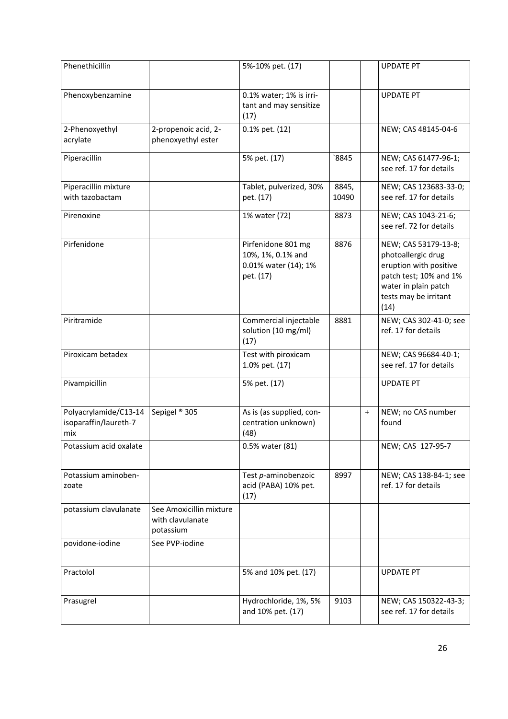| Phenethicillin                                        |                                                          | 5%-10% pet. (17)                                                             |                |           | <b>UPDATE PT</b>                                                                                                                                        |
|-------------------------------------------------------|----------------------------------------------------------|------------------------------------------------------------------------------|----------------|-----------|---------------------------------------------------------------------------------------------------------------------------------------------------------|
| Phenoxybenzamine                                      |                                                          | 0.1% water; 1% is irri-<br>tant and may sensitize<br>(17)                    |                |           | <b>UPDATE PT</b>                                                                                                                                        |
| 2-Phenoxyethyl<br>acrylate                            | 2-propenoic acid, 2-<br>phenoxyethyl ester               | 0.1% pet. (12)                                                               |                |           | NEW; CAS 48145-04-6                                                                                                                                     |
| Piperacillin                                          |                                                          | 5% pet. (17)                                                                 | 8845           |           | NEW; CAS 61477-96-1;<br>see ref. 17 for details                                                                                                         |
| Piperacillin mixture<br>with tazobactam               |                                                          | Tablet, pulverized, 30%<br>pet. (17)                                         | 8845,<br>10490 |           | NEW; CAS 123683-33-0;<br>see ref. 17 for details                                                                                                        |
| Pirenoxine                                            |                                                          | 1% water (72)                                                                | 8873           |           | NEW; CAS 1043-21-6;<br>see ref. 72 for details                                                                                                          |
| Pirfenidone                                           |                                                          | Pirfenidone 801 mg<br>10%, 1%, 0.1% and<br>0.01% water (14); 1%<br>pet. (17) | 8876           |           | NEW; CAS 53179-13-8;<br>photoallergic drug<br>eruption with positive<br>patch test; 10% and 1%<br>water in plain patch<br>tests may be irritant<br>(14) |
| Piritramide                                           |                                                          | Commercial injectable<br>solution (10 mg/ml)<br>(17)                         | 8881           |           | NEW; CAS 302-41-0; see<br>ref. 17 for details                                                                                                           |
| Piroxicam betadex                                     |                                                          | Test with piroxicam<br>1.0% pet. (17)                                        |                |           | NEW; CAS 96684-40-1;<br>see ref. 17 for details                                                                                                         |
| Pivampicillin                                         |                                                          | 5% pet. (17)                                                                 |                |           | <b>UPDATE PT</b>                                                                                                                                        |
| Polyacrylamide/C13-14<br>isoparaffin/laureth-7<br>mix | Sepigel <sup>®</sup> 305                                 | As is (as supplied, con-<br>centration unknown)<br>(48)                      |                | $\ddot{}$ | NEW; no CAS number<br>found                                                                                                                             |
| Potassium acid oxalate                                |                                                          | 0.5% water (81)                                                              |                |           | NEW; CAS 127-95-7                                                                                                                                       |
| Potassium aminoben-<br>zoate                          |                                                          | Test p-aminobenzoic<br>acid (PABA) 10% pet.<br>(17)                          | 8997           |           | NEW; CAS 138-84-1; see<br>ref. 17 for details                                                                                                           |
| potassium clavulanate                                 | See Amoxicillin mixture<br>with clavulanate<br>potassium |                                                                              |                |           |                                                                                                                                                         |
| povidone-iodine                                       | See PVP-iodine                                           |                                                                              |                |           |                                                                                                                                                         |
| Practolol                                             |                                                          | 5% and 10% pet. (17)                                                         |                |           | <b>UPDATE PT</b>                                                                                                                                        |
| Prasugrel                                             |                                                          | Hydrochloride, 1%, 5%<br>and 10% pet. (17)                                   | 9103           |           | NEW; CAS 150322-43-3;<br>see ref. 17 for details                                                                                                        |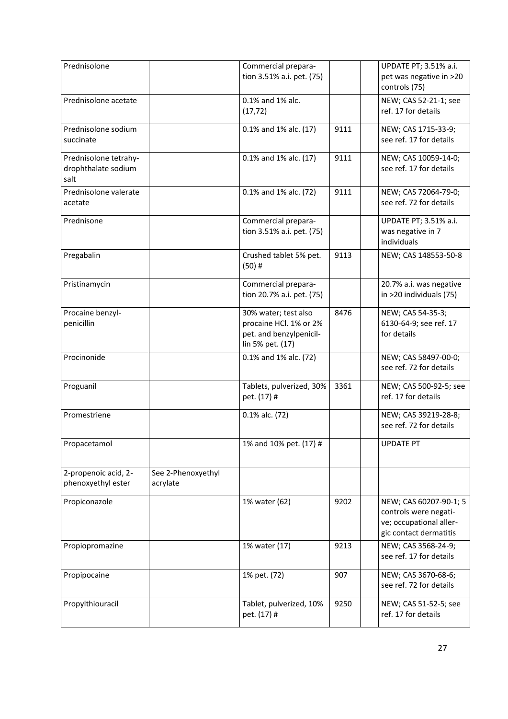| Prednisolone                                         |                                | Commercial prepara-<br>tion 3.51% a.i. pet. (75)                                              |      | UPDATE PT; 3.51% a.i.<br>pet was negative in >20<br>controls (75)                                    |
|------------------------------------------------------|--------------------------------|-----------------------------------------------------------------------------------------------|------|------------------------------------------------------------------------------------------------------|
| Prednisolone acetate                                 |                                | 0.1% and 1% alc.<br>(17, 72)                                                                  |      | NEW; CAS 52-21-1; see<br>ref. 17 for details                                                         |
| Prednisolone sodium<br>succinate                     |                                | 0.1% and 1% alc. (17)                                                                         | 9111 | NEW; CAS 1715-33-9;<br>see ref. 17 for details                                                       |
| Prednisolone tetrahy-<br>drophthalate sodium<br>salt |                                | 0.1% and 1% alc. (17)                                                                         | 9111 | NEW; CAS 10059-14-0;<br>see ref. 17 for details                                                      |
| Prednisolone valerate<br>acetate                     |                                | 0.1% and 1% alc. (72)                                                                         | 9111 | NEW; CAS 72064-79-0;<br>see ref. 72 for details                                                      |
| Prednisone                                           |                                | Commercial prepara-<br>tion 3.51% a.i. pet. (75)                                              |      | UPDATE PT; 3.51% a.i.<br>was negative in 7<br>individuals                                            |
| Pregabalin                                           |                                | Crushed tablet 5% pet.<br>$(50)$ #                                                            | 9113 | NEW; CAS 148553-50-8                                                                                 |
| Pristinamycin                                        |                                | Commercial prepara-<br>tion 20.7% a.i. pet. (75)                                              |      | 20.7% a.i. was negative<br>in >20 individuals (75)                                                   |
| Procaine benzyl-<br>penicillin                       |                                | 30% water; test also<br>procaine HCl. 1% or 2%<br>pet. and benzylpenicil-<br>lin 5% pet. (17) | 8476 | NEW; CAS 54-35-3;<br>6130-64-9; see ref. 17<br>for details                                           |
| Procinonide                                          |                                | 0.1% and 1% alc. (72)                                                                         |      | NEW; CAS 58497-00-0;<br>see ref. 72 for details                                                      |
| Proguanil                                            |                                | Tablets, pulverized, 30%<br>pet. (17) #                                                       | 3361 | NEW; CAS 500-92-5; see<br>ref. 17 for details                                                        |
| Promestriene                                         |                                | 0.1% alc. (72)                                                                                |      | NEW; CAS 39219-28-8;<br>see ref. 72 for details                                                      |
| Propacetamol                                         |                                | 1% and 10% pet. (17) #                                                                        |      | <b>UPDATE PT</b>                                                                                     |
| 2-propenoic acid, 2-<br>phenoxyethyl ester           | See 2-Phenoxyethyl<br>acrylate |                                                                                               |      |                                                                                                      |
| Propiconazole                                        |                                | 1% water (62)                                                                                 | 9202 | NEW; CAS 60207-90-1; 5<br>controls were negati-<br>ve; occupational aller-<br>gic contact dermatitis |
| Propiopromazine                                      |                                | 1% water (17)                                                                                 | 9213 | NEW; CAS 3568-24-9;<br>see ref. 17 for details                                                       |
| Propipocaine                                         |                                | 1% pet. (72)                                                                                  | 907  | NEW; CAS 3670-68-6;<br>see ref. 72 for details                                                       |
| Propylthiouracil                                     |                                | Tablet, pulverized, 10%<br>pet. (17) #                                                        | 9250 | NEW; CAS 51-52-5; see<br>ref. 17 for details                                                         |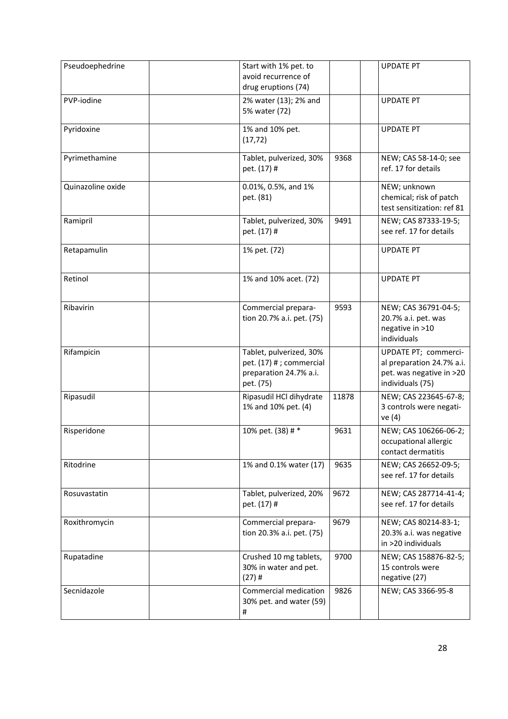| Pseudoephedrine   | Start with 1% pet. to<br>avoid recurrence of<br>drug eruptions (74)                        |       | <b>UPDATE PT</b>                                                                                  |
|-------------------|--------------------------------------------------------------------------------------------|-------|---------------------------------------------------------------------------------------------------|
| PVP-iodine        | 2% water (13); 2% and<br>5% water (72)                                                     |       | <b>UPDATE PT</b>                                                                                  |
| Pyridoxine        | 1% and 10% pet.<br>(17, 72)                                                                |       | <b>UPDATE PT</b>                                                                                  |
| Pyrimethamine     | Tablet, pulverized, 30%<br>pet. (17) #                                                     | 9368  | NEW; CAS 58-14-0; see<br>ref. 17 for details                                                      |
| Quinazoline oxide | 0.01%, 0.5%, and 1%<br>pet. (81)                                                           |       | NEW; unknown<br>chemical; risk of patch<br>test sensitization: ref 81                             |
| Ramipril          | Tablet, pulverized, 30%<br>pet. (17) #                                                     | 9491  | NEW; CAS 87333-19-5;<br>see ref. 17 for details                                                   |
| Retapamulin       | 1% pet. (72)                                                                               |       | <b>UPDATE PT</b>                                                                                  |
| Retinol           | 1% and 10% acet. (72)                                                                      |       | <b>UPDATE PT</b>                                                                                  |
| Ribavirin         | Commercial prepara-<br>tion 20.7% a.i. pet. (75)                                           | 9593  | NEW; CAS 36791-04-5;<br>20.7% a.i. pet. was<br>negative in >10<br>individuals                     |
| Rifampicin        | Tablet, pulverized, 30%<br>pet. (17) # ; commercial<br>preparation 24.7% a.i.<br>pet. (75) |       | UPDATE PT; commerci-<br>al preparation 24.7% a.i.<br>pet. was negative in >20<br>individuals (75) |
| Ripasudil         | Ripasudil HCl dihydrate<br>1% and 10% pet. (4)                                             | 11878 | NEW; CAS 223645-67-8;<br>3 controls were negati-<br>ve (4)                                        |
| Risperidone       | 10% pet. (38) # *                                                                          | 9631  | NEW; CAS 106266-06-2;<br>occupational allergic<br>contact dermatitis                              |
| Ritodrine         | 1% and 0.1% water (17)                                                                     | 9635  | NEW; CAS 26652-09-5;<br>see ref. 17 for details                                                   |
| Rosuvastatin      | Tablet, pulverized, 20%<br>pet. (17) #                                                     | 9672  | NEW; CAS 287714-41-4;<br>see ref. 17 for details                                                  |
| Roxithromycin     | Commercial prepara-<br>tion 20.3% a.i. pet. (75)                                           | 9679  | NEW; CAS 80214-83-1;<br>20.3% a.i. was negative<br>in >20 individuals                             |
| Rupatadine        | Crushed 10 mg tablets,<br>30% in water and pet.<br>$(27)$ #                                | 9700  | NEW; CAS 158876-82-5;<br>15 controls were<br>negative (27)                                        |
| Secnidazole       | Commercial medication<br>30% pet. and water (59)<br>#                                      | 9826  | NEW; CAS 3366-95-8                                                                                |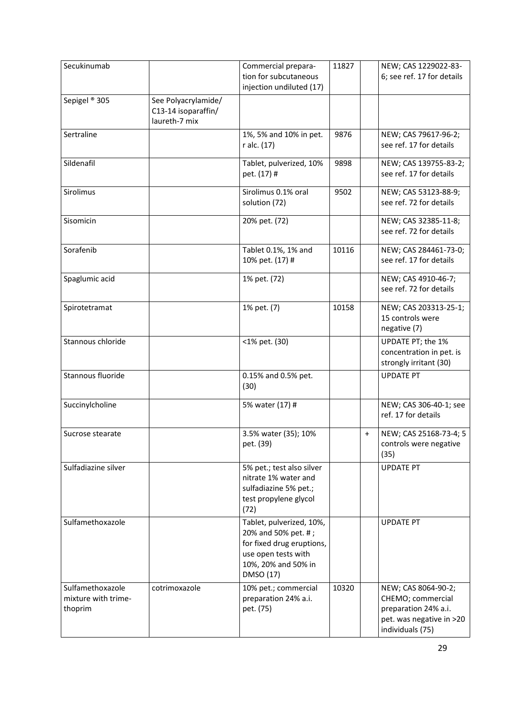| Secukinumab                                        |                                                             | Commercial prepara-<br>tion for subcutaneous<br>injection undiluted (17)                                                                | 11827 |           | NEW; CAS 1229022-83-<br>6; see ref. 17 for details                                                               |
|----------------------------------------------------|-------------------------------------------------------------|-----------------------------------------------------------------------------------------------------------------------------------------|-------|-----------|------------------------------------------------------------------------------------------------------------------|
| Sepigel ® 305                                      | See Polyacrylamide/<br>C13-14 isoparaffin/<br>laureth-7 mix |                                                                                                                                         |       |           |                                                                                                                  |
| Sertraline                                         |                                                             | 1%, 5% and 10% in pet.<br>r alc. (17)                                                                                                   | 9876  |           | NEW; CAS 79617-96-2;<br>see ref. 17 for details                                                                  |
| Sildenafil                                         |                                                             | Tablet, pulverized, 10%<br>pet. (17) #                                                                                                  | 9898  |           | NEW; CAS 139755-83-2;<br>see ref. 17 for details                                                                 |
| Sirolimus                                          |                                                             | Sirolimus 0.1% oral<br>solution (72)                                                                                                    | 9502  |           | NEW; CAS 53123-88-9;<br>see ref. 72 for details                                                                  |
| Sisomicin                                          |                                                             | 20% pet. (72)                                                                                                                           |       |           | NEW; CAS 32385-11-8;<br>see ref. 72 for details                                                                  |
| Sorafenib                                          |                                                             | Tablet 0.1%, 1% and<br>10% pet. (17) #                                                                                                  | 10116 |           | NEW; CAS 284461-73-0;<br>see ref. 17 for details                                                                 |
| Spaglumic acid                                     |                                                             | 1% pet. (72)                                                                                                                            |       |           | NEW; CAS 4910-46-7;<br>see ref. 72 for details                                                                   |
| Spirotetramat                                      |                                                             | 1% pet. (7)                                                                                                                             | 10158 |           | NEW; CAS 203313-25-1;<br>15 controls were<br>negative (7)                                                        |
| Stannous chloride                                  |                                                             | <1% pet. (30)                                                                                                                           |       |           | UPDATE PT; the 1%<br>concentration in pet. is<br>strongly irritant (30)                                          |
| Stannous fluoride                                  |                                                             | 0.15% and 0.5% pet.<br>(30)                                                                                                             |       |           | <b>UPDATE PT</b>                                                                                                 |
| Succinylcholine                                    |                                                             | 5% water (17) #                                                                                                                         |       |           | NEW; CAS 306-40-1; see<br>ref. 17 for details                                                                    |
| Sucrose stearate                                   |                                                             | 3.5% water (35); 10%<br>pet. (39)                                                                                                       |       | $\ddot{}$ | NEW; CAS 25168-73-4; 5<br>controls were negative<br>(35)                                                         |
| Sulfadiazine silver                                |                                                             | 5% pet.; test also silver<br>nitrate 1% water and<br>sulfadiazine 5% pet.;<br>test propylene glycol<br>(72)                             |       |           | <b>UPDATE PT</b>                                                                                                 |
| Sulfamethoxazole                                   |                                                             | Tablet, pulverized, 10%,<br>20% and 50% pet. #;<br>for fixed drug eruptions,<br>use open tests with<br>10%, 20% and 50% in<br>DMSO (17) |       |           | <b>UPDATE PT</b>                                                                                                 |
| Sulfamethoxazole<br>mixture with trime-<br>thoprim | cotrimoxazole                                               | 10% pet.; commercial<br>preparation 24% a.i.<br>pet. (75)                                                                               | 10320 |           | NEW; CAS 8064-90-2;<br>CHEMO; commercial<br>preparation 24% a.i.<br>pet. was negative in >20<br>individuals (75) |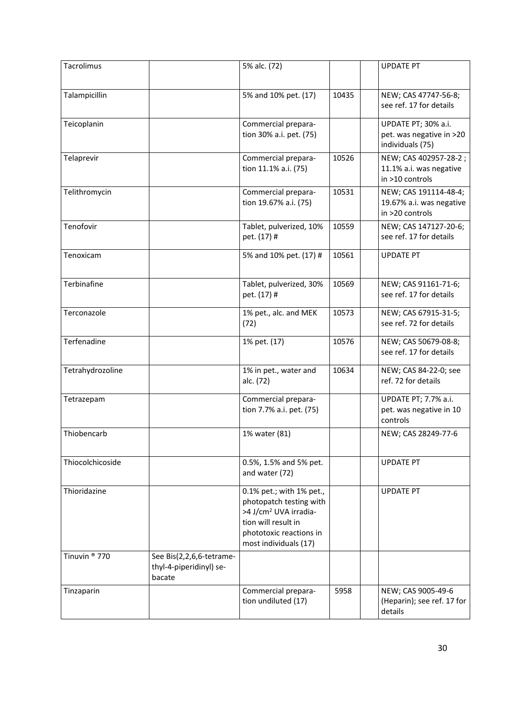| Tacrolimus               |                                                               | 5% alc. (72)                                                                                                                                                        |       | <b>UPDATE PT</b>                                                     |
|--------------------------|---------------------------------------------------------------|---------------------------------------------------------------------------------------------------------------------------------------------------------------------|-------|----------------------------------------------------------------------|
| Talampicillin            |                                                               | 5% and 10% pet. (17)                                                                                                                                                | 10435 | NEW; CAS 47747-56-8;<br>see ref. 17 for details                      |
| Teicoplanin              |                                                               | Commercial prepara-<br>tion 30% a.i. pet. (75)                                                                                                                      |       | UPDATE PT; 30% a.i.<br>pet. was negative in >20                      |
| Telaprevir               |                                                               | Commercial prepara-                                                                                                                                                 | 10526 | individuals (75)<br>NEW; CAS 402957-28-2;                            |
|                          |                                                               | tion 11.1% a.i. (75)                                                                                                                                                |       | 11.1% a.i. was negative<br>in >10 controls                           |
| Telithromycin            |                                                               | Commercial prepara-<br>tion 19.67% a.i. (75)                                                                                                                        | 10531 | NEW; CAS 191114-48-4;<br>19.67% a.i. was negative<br>in >20 controls |
| Tenofovir                |                                                               | Tablet, pulverized, 10%<br>pet. (17) #                                                                                                                              | 10559 | NEW; CAS 147127-20-6;<br>see ref. 17 for details                     |
| Tenoxicam                |                                                               | 5% and 10% pet. (17) #                                                                                                                                              | 10561 | <b>UPDATE PT</b>                                                     |
| Terbinafine              |                                                               | Tablet, pulverized, 30%<br>pet. (17) #                                                                                                                              | 10569 | NEW; CAS 91161-71-6;<br>see ref. 17 for details                      |
| Terconazole              |                                                               | 1% pet., alc. and MEK<br>(72)                                                                                                                                       | 10573 | NEW; CAS 67915-31-5;<br>see ref. 72 for details                      |
| Terfenadine              |                                                               | 1% pet. (17)                                                                                                                                                        | 10576 | NEW; CAS 50679-08-8;<br>see ref. 17 for details                      |
| Tetrahydrozoline         |                                                               | 1% in pet., water and<br>alc. (72)                                                                                                                                  | 10634 | NEW; CAS 84-22-0; see<br>ref. 72 for details                         |
| Tetrazepam               |                                                               | Commercial prepara-<br>tion 7.7% a.i. pet. (75)                                                                                                                     |       | UPDATE PT; 7.7% a.i.<br>pet. was negative in 10<br>controls          |
| Thiobencarb              |                                                               | 1% water (81)                                                                                                                                                       |       | NEW; CAS 28249-77-6                                                  |
| Thiocolchicoside         |                                                               | 0.5%, 1.5% and 5% pet.<br>and water (72)                                                                                                                            |       | <b>UPDATE PT</b>                                                     |
| Thioridazine             |                                                               | 0.1% pet.; with 1% pet.,<br>photopatch testing with<br>>4 J/cm <sup>2</sup> UVA irradia-<br>tion will result in<br>phototoxic reactions in<br>most individuals (17) |       | <b>UPDATE PT</b>                                                     |
| Tinuvin <sup>®</sup> 770 | See Bis(2,2,6,6-tetrame-<br>thyl-4-piperidinyl) se-<br>bacate |                                                                                                                                                                     |       |                                                                      |
| Tinzaparin               |                                                               | Commercial prepara-<br>tion undiluted (17)                                                                                                                          | 5958  | NEW; CAS 9005-49-6<br>(Heparin); see ref. 17 for<br>details          |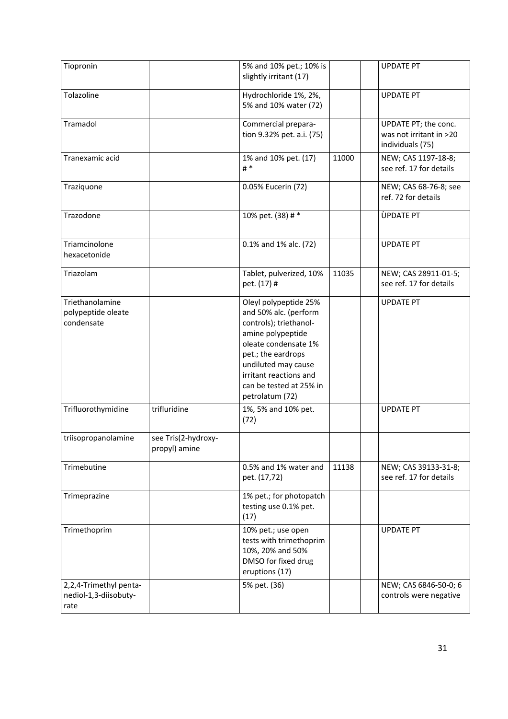| Tiopronin                                               |                                      | 5% and 10% pet.; 10% is<br>slightly irritant (17)                                                                                                                                                                                          |       | <b>UPDATE PT</b>                                                    |
|---------------------------------------------------------|--------------------------------------|--------------------------------------------------------------------------------------------------------------------------------------------------------------------------------------------------------------------------------------------|-------|---------------------------------------------------------------------|
| Tolazoline                                              |                                      | Hydrochloride 1%, 2%,<br>5% and 10% water (72)                                                                                                                                                                                             |       | <b>UPDATE PT</b>                                                    |
| Tramadol                                                |                                      | Commercial prepara-<br>tion 9.32% pet. a.i. (75)                                                                                                                                                                                           |       | UPDATE PT; the conc.<br>was not irritant in >20<br>individuals (75) |
| Tranexamic acid                                         |                                      | 1% and 10% pet. (17)<br># $*$                                                                                                                                                                                                              | 11000 | NEW; CAS 1197-18-8;<br>see ref. 17 for details                      |
| Traziquone                                              |                                      | 0.05% Eucerin (72)                                                                                                                                                                                                                         |       | NEW; CAS 68-76-8; see<br>ref. 72 for details                        |
| Trazodone                                               |                                      | 10% pet. (38) # *                                                                                                                                                                                                                          |       | ÙPDATE PT                                                           |
| Triamcinolone<br>hexacetonide                           |                                      | 0.1% and 1% alc. (72)                                                                                                                                                                                                                      |       | <b>UPDATE PT</b>                                                    |
| Triazolam                                               |                                      | Tablet, pulverized, 10%<br>pet. (17) #                                                                                                                                                                                                     | 11035 | NEW; CAS 28911-01-5;<br>see ref. 17 for details                     |
| Triethanolamine<br>polypeptide oleate<br>condensate     |                                      | Oleyl polypeptide 25%<br>and 50% alc. (perform<br>controls); triethanol-<br>amine polypeptide<br>oleate condensate 1%<br>pet.; the eardrops<br>undiluted may cause<br>irritant reactions and<br>can be tested at 25% in<br>petrolatum (72) |       | <b>UPDATE PT</b>                                                    |
| Trifluorothymidine                                      | trifluridine                         | 1%, 5% and 10% pet.<br>(72)                                                                                                                                                                                                                |       | <b>UPDATE PT</b>                                                    |
| triisopropanolamine                                     | see Tris(2-hydroxy-<br>propyl) amine |                                                                                                                                                                                                                                            |       |                                                                     |
| Trimebutine                                             |                                      | 0.5% and 1% water and<br>pet. (17,72)                                                                                                                                                                                                      | 11138 | NEW; CAS 39133-31-8;<br>see ref. 17 for details                     |
| Trimeprazine                                            |                                      | 1% pet.; for photopatch<br>testing use 0.1% pet.<br>(17)                                                                                                                                                                                   |       |                                                                     |
| Trimethoprim                                            |                                      | 10% pet.; use open<br>tests with trimethoprim<br>10%, 20% and 50%<br>DMSO for fixed drug<br>eruptions (17)                                                                                                                                 |       | <b>UPDATE PT</b>                                                    |
| 2,2,4-Trimethyl penta-<br>nediol-1,3-diisobuty-<br>rate |                                      | 5% pet. (36)                                                                                                                                                                                                                               |       | NEW; CAS 6846-50-0; 6<br>controls were negative                     |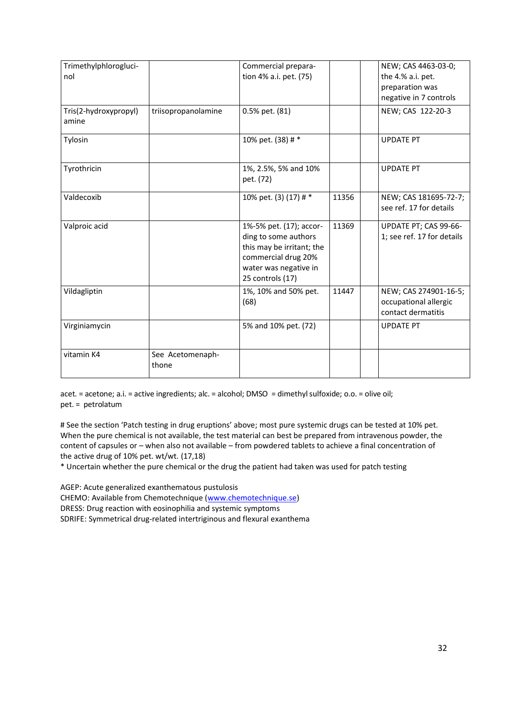| Trimethylphlorogluci-<br>nol   |                           | Commercial prepara-<br>tion 4% a.i. pet. (75)                                                                                                    |       | NEW; CAS 4463-03-0;<br>the 4.% a.i. pet.<br>preparation was<br>negative in 7 controls |
|--------------------------------|---------------------------|--------------------------------------------------------------------------------------------------------------------------------------------------|-------|---------------------------------------------------------------------------------------|
| Tris(2-hydroxypropyl)<br>amine | triisopropanolamine       | 0.5% pet. (81)                                                                                                                                   |       | NEW; CAS 122-20-3                                                                     |
| Tylosin                        |                           | 10% pet. (38) # *                                                                                                                                |       | <b>UPDATE PT</b>                                                                      |
| Tyrothricin                    |                           | 1%, 2.5%, 5% and 10%<br>pet. (72)                                                                                                                |       | <b>UPDATE PT</b>                                                                      |
| Valdecoxib                     |                           | 10% pet. (3) (17) # *                                                                                                                            | 11356 | NEW; CAS 181695-72-7;<br>see ref. 17 for details                                      |
| Valproic acid                  |                           | 1%-5% pet. (17); accor-<br>ding to some authors<br>this may be irritant; the<br>commercial drug 20%<br>water was negative in<br>25 controls (17) | 11369 | UPDATE PT; CAS 99-66-<br>1; see ref. 17 for details                                   |
| Vildagliptin                   |                           | 1%, 10% and 50% pet.<br>(68)                                                                                                                     | 11447 | NEW; CAS 274901-16-5;<br>occupational allergic<br>contact dermatitis                  |
| Virginiamycin                  |                           | 5% and 10% pet. (72)                                                                                                                             |       | <b>UPDATE PT</b>                                                                      |
| vitamin K4                     | See Acetomenaph-<br>thone |                                                                                                                                                  |       |                                                                                       |

acet. = acetone; a.i. = active ingredients; alc. = alcohol; DMSO = dimethyl sulfoxide; o.o. = olive oil; pet. = petrolatum

# See the section 'Patch testing in drug eruptions' above; most pure systemic drugs can be tested at 10% pet. When the pure chemical is not available, the test material can best be prepared from intravenous powder, the content of capsules or – when also not available – from powdered tablets to achieve a final concentration of the active drug of 10% pet. wt/wt. (17,18)

\* Uncertain whether the pure chemical or the drug the patient had taken was used for patch testing

AGEP: Acute generalized exanthematous pustulosis

CHEMO: Available from Chemotechnique [\(www.chemotechnique.se\)](http://www.chemotechnique.se/)

DRESS: Drug reaction with eosinophilia and systemic symptoms

SDRIFE: Symmetrical drug-related intertriginous and flexural exanthema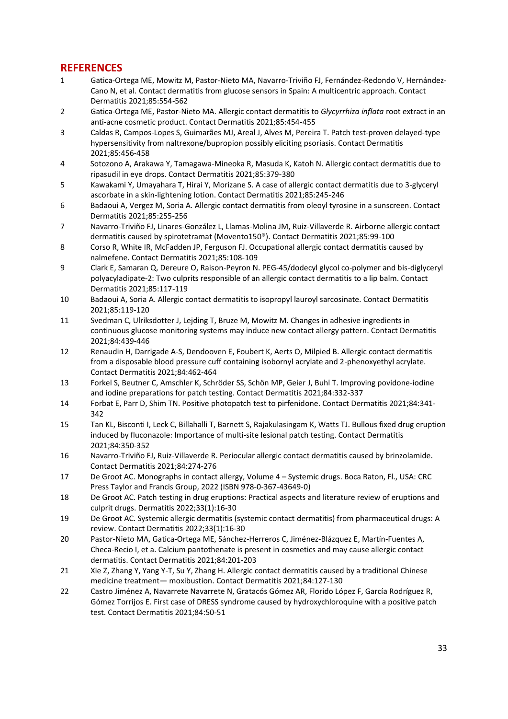### **REFERENCES**

- 1 Gatica-Ortega ME, Mowitz M, Pastor-Nieto MA, Navarro-Triviño FJ, Fernández-Redondo V, Hernández-Cano N, et al. Contact dermatitis from glucose sensors in Spain: A multicentric approach. Contact Dermatitis 2021;85:554-562
- 2 Gatica-Ortega ME, Pastor-Nieto MA. Allergic contact dermatitis to *Glycyrrhiza inflata* root extract in an anti-acne cosmetic product. Contact Dermatitis 2021;85:454-455
- 3 Caldas R, Campos-Lopes S, Guimarães MJ, Areal J, Alves M, Pereira T. Patch test-proven delayed-type hypersensitivity from naltrexone/bupropion possibly eliciting psoriasis. Contact Dermatitis 2021;85:456-458
- 4 Sotozono A, Arakawa Y, Tamagawa-Mineoka R, Masuda K, Katoh N. Allergic contact dermatitis due to ripasudil in eye drops. Contact Dermatitis 2021;85:379-380
- 5 Kawakami Y, Umayahara T, Hirai Y, Morizane S. A case of allergic contact dermatitis due to 3-glyceryl ascorbate in a skin-lightening lotion. Contact Dermatitis 2021;85:245-246
- 6 Badaoui A, Vergez M, Soria A. Allergic contact dermatitis from oleoyl tyrosine in a sunscreen. Contact Dermatitis 2021;85:255-256
- 7 Navarro-Triviño FJ, Linares-González L, Llamas-Molina JM, Ruiz-Villaverde R. Airborne allergic contact dermatitis caused by spirotetramat (Movento150®). Contact Dermatitis 2021;85:99-100
- 8 Corso R, White IR, McFadden JP, Ferguson FJ. Occupational allergic contact dermatitis caused by nalmefene. Contact Dermatitis 2021;85:108-109
- 9 Clark E, Samaran Q, Dereure O, Raison-Peyron N. PEG-45/dodecyl glycol co-polymer and bis-diglyceryl polyacyladipate-2: Two culprits responsible of an allergic contact dermatitis to a lip balm. Contact Dermatitis 2021;85:117-119
- 10 Badaoui A, Soria A. Allergic contact dermatitis to isopropyl lauroyl sarcosinate. Contact Dermatitis 2021;85:119-120
- 11 Svedman C, Ulriksdotter J, Lejding T, Bruze M, Mowitz M. Changes in adhesive ingredients in continuous glucose monitoring systems may induce new contact allergy pattern. Contact Dermatitis 2021;84:439-446
- 12 Renaudin H, Darrigade A-S, Dendooven E, Foubert K, Aerts O, Milpied B. Allergic contact dermatitis from a disposable blood pressure cuff containing isobornyl acrylate and 2-phenoxyethyl acrylate. Contact Dermatitis 2021;84:462-464
- 13 Forkel S, Beutner C, Amschler K, Schröder SS, Schön MP, Geier J, Buhl T. Improving povidone-iodine and iodine preparations for patch testing. Contact Dermatitis 2021;84:332-337
- 14 Forbat E, Parr D, Shim TN. Positive photopatch test to pirfenidone. Contact Dermatitis 2021;84:341- 342
- 15 Tan KL, Bisconti I, Leck C, Billahalli T, Barnett S, Rajakulasingam K, Watts TJ. Bullous fixed drug eruption induced by fluconazole: Importance of multi-site lesional patch testing. Contact Dermatitis 2021;84:350-352
- 16 Navarro-Triviño FJ, Ruiz-Villaverde R. Periocular allergic contact dermatitis caused by brinzolamide. Contact Dermatitis 2021;84:274-276
- 17 De Groot AC. Monographs in contact allergy, Volume 4 Systemic drugs. Boca Raton, Fl., USA: CRC Press Taylor and Francis Group, 2022 (ISBN 978-0-367-43649-0)
- 18 De Groot AC. Patch testing in drug eruptions: Practical aspects and literature review of eruptions and culprit drugs. Dermatitis 2022;33(1):16-30
- 19 De Groot AC. Systemic allergic dermatitis (systemic contact dermatitis) from pharmaceutical drugs: A review. Contact Dermatitis 2022;33(1):16-30
- 20 Pastor-Nieto MA, Gatica-Ortega ME, Sánchez-Herreros C, Jiménez-Blázquez E, Martín-Fuentes A, Checa-Recio I, et a. Calcium pantothenate is present in cosmetics and may cause allergic contact dermatitis. Contact Dermatitis 2021;84:201-203
- 21 Xie Z, Zhang Y, Yang Y-T, Su Y, Zhang H. Allergic contact dermatitis caused by a traditional Chinese medicine treatment— moxibustion. Contact Dermatitis 2021;84:127-130
- 22 Castro Jiménez A, Navarrete Navarrete N, Gratacós Gómez AR, Florido López F, García Rodríguez R, Gómez Torrijos E. First case of DRESS syndrome caused by hydroxychloroquine with a positive patch test. Contact Dermatitis 2021;84:50-51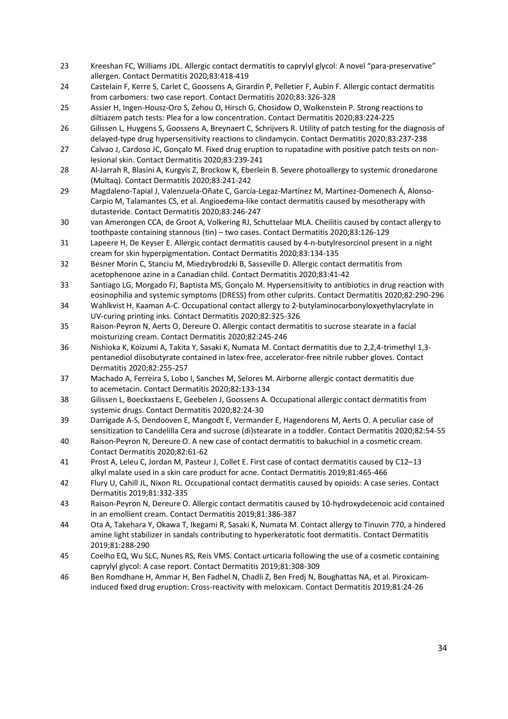- 23 Kreeshan FC, Williams JDL. Allergic contact dermatitis to caprylyl glycol: A novel "para-preservative" allergen. Contact Dermatitis 2020;83:418-419
- 24 Castelain F, Kerre S, Carlet C, Goossens A, Girardin P, Pelletier F, Aubin F. Allergic contact dermatitis from carbomers: two case report. Contact Dermatitis 2020;83:326-328
- 25 Assier H, Ingen-Housz-Oro S, Zehou O, Hirsch G, Chosidow O, Wolkenstein P. Strong reactions to diltiazem patch tests: Plea for a low concentration. Contact Dermatitis 2020;83:224-225
- 26 Gilissen L, Huygens S, Goossens A, Breynaert C, Schrijvers R. Utility of patch testing for the diagnosis of delayed-type drug hypersensitivity reactions to clindamycin. Contact Dermatitis 2020;83:237-238
- 27 Calvao J, Cardoso JC, Gonçalo M. Fixed drug eruption to rupatadine with positive patch tests on nonlesional skin. Contact Dermatitis 2020;83:239-241
- 28 Al-Jarrah R, Blasini A, Kurgyis Z, Brockow K, Eberlein B. Severe photoallergy to systemic dronedarone (Multaq). Contact Dermatitis 2020;83:241-242
- 29 Magdaleno-Tapial J, Valenzuela-Oñate C, García-Legaz-Martínez M, Martínez-Domenech Á, Alonso-Carpio M, Talamantes CS, et al. Angioedema-like contact dermatitis caused by mesotherapy with dutasteride. Contact Dermatitis 2020;83:246-247
- 30 van Amerongen CCA, de Groot A, Volkering RJ, Schuttelaar MLA. Cheilitis caused by contact allergy to toothpaste containing stannous (tin) – two cases. Contact Dermatitis 2020;83:126-129
- 31 Lapeere H, De Keyser E. Allergic contact dermatitis caused by 4-n-butylresorcinol present in a night cream for skin hyperpigmentation. Contact Dermatitis 2020;83:134-135
- 32 Besner Morin C, Stanciu M, Miedzybrodzki B, Sasseville D. Allergic contact dermatitis from acetophenone azine in a Canadian child. Contact Dermatitis 2020;83:41-42
- 33 Santiago LG, Morgado FJ, Baptista MS, Gonçalo M. Hypersensitivity to antibiotics in drug reaction with eosinophilia and systemic symptoms (DRESS) from other culprits. Contact Dermatitis 2020;82:290-296
- 34 Wahlkvist H, Kaaman A-C. Occupational contact allergy to 2-butylaminocarbonyloxyethylacrylate in UV-curing printing inks. Contact Dermatitis 2020;82:325-326
- 35 Raison-Peyron N, Aerts O, Dereure O. Allergic contact dermatitis to sucrose stearate in a facial moisturizing cream. Contact Dermatitis 2020;82:245-246
- 36 Nishioka K, Koizumi A, Takita Y, Sasaki K, Numata M. Contact dermatitis due to 2,2,4-trimethyl 1,3 pentanediol diisobutyrate contained in latex-free, accelerator-free nitrile rubber gloves. Contact Dermatitis 2020;82:255-257
- 37 Machado A, Ferreira S, Lobo I, Sanches M, Selores M. Airborne allergic contact dermatitis due to acemetacin. Contact Dermatitis 2020;82:133-134
- 38 Gilissen L, Boeckxstaens E, Geebelen J, Goossens A. Occupational allergic contact dermatitis from systemic drugs. Contact Dermatitis 2020;82:24-30
- 39 Darrigade A-S, Dendooven E, Mangodt E, Vermander E, Hagendorens M, Aerts O. A peculiar case of sensitization to Candelilla Cera and sucrose (di)stearate in a toddler. Contact Dermatitis 2020;82:54-55
- 40 Raison-Peyron N, Dereure O. A new case of contact dermatitis to bakuchiol in a cosmetic cream. Contact Dermatitis 2020;82:61-62
- 41 Prost A, Leleu C, Jordan M, Pasteur J, Collet E. First case of contact dermatitis caused by C12–13 alkyl malate used in a skin care product for acne. Contact Dermatitis 2019;81:465-466
- 42 Flury U, Cahill JL, Nixon RL. Occupational contact dermatitis caused by opioids: A case series. Contact Dermatitis 2019;81:332-335
- 43 Raison-Peyron N, Dereure O. Allergic contact dermatitis caused by 10-hydroxydecenoic acid contained in an emollient cream. Contact Dermatitis 2019;81:386-387
- 44 Ota A, Takehara Y, Okawa T, Ikegami R, Sasaki K, Numata M. Contact allergy to Tinuvin 770, a hindered amine light stabilizer in sandals contributing to hyperkeratotic foot dermatitis. Contact Dermatitis 2019;81:288-290
- 45 Coelho EQ, Wu SLC, Nunes RS, Reis VMS. Contact urticaria following the use of a cosmetic containing caprylyl glycol: A case report. Contact Dermatitis 2019;81:308-309
- 46 Ben Romdhane H, Ammar H, Ben Fadhel N, Chadli Z, Ben Fredj N, Boughattas NA, et al. Piroxicaminduced fixed drug eruption: Cross-reactivity with meloxicam. Contact Dermatitis 2019;81:24-26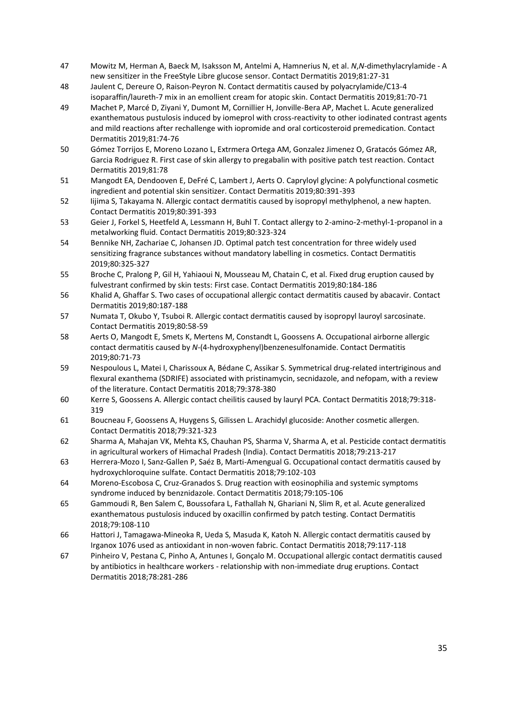- 47 Mowitz M, Herman A, Baeck M, Isaksson M, Antelmi A, Hamnerius N, et al. *N*,*N*-dimethylacrylamide A new sensitizer in the FreeStyle Libre glucose sensor. Contact Dermatitis 2019;81:27-31
- 48 Jaulent C, Dereure O, Raison-Peyron N. Contact dermatitis caused by polyacrylamide/C13-4 isoparaffin/laureth-7 mix in an emollient cream for atopic skin. Contact Dermatitis 2019;81:70-71
- 49 Machet P, Marcé D, Ziyani Y, Dumont M, Cornillier H, Jonville-Bera AP, Machet L. Acute generalized exanthematous pustulosis induced by iomeprol with cross-reactivity to other iodinated contrast agents and mild reactions after rechallenge with iopromide and oral corticosteroid premedication. Contact Dermatitis 2019;81:74-76
- 50 Gómez Torrijos E, Moreno Lozano L, Extrmera Ortega AM, Gonzalez Jimenez O, Gratacós Gómez AR, Garcia Rodriguez R. First case of skin allergy to pregabalin with positive patch test reaction. Contact Dermatitis 2019;81:78
- 51 Mangodt EA, Dendooven E, DeFré C, Lambert J, Aerts O. Capryloyl glycine: A polyfunctional cosmetic ingredient and potential skin sensitizer. Contact Dermatitis 2019;80:391-393
- 52 Iijima S, Takayama N. Allergic contact dermatitis caused by isopropyl methylphenol, a new hapten. Contact Dermatitis 2019;80:391-393
- 53 Geier J, Forkel S, Heetfeld A, Lessmann H, Buhl T. Contact allergy to 2-amino-2-methyl-1-propanol in a metalworking fluid. Contact Dermatitis 2019;80:323-324
- 54 Bennike NH, Zachariae C, Johansen JD. Optimal patch test concentration for three widely used sensitizing fragrance substances without mandatory labelling in cosmetics. Contact Dermatitis 2019;80:325-327
- 55 Broche C, Pralong P, Gil H, Yahiaoui N, Mousseau M, Chatain C, et al. Fixed drug eruption caused by fulvestrant confirmed by skin tests: First case. Contact Dermatitis 2019;80:184-186
- 56 Khalid A, Ghaffar S. Two cases of occupational allergic contact dermatitis caused by abacavir. Contact Dermatitis 2019;80:187-188
- 57 Numata T, Okubo Y, Tsuboi R. Allergic contact dermatitis caused by isopropyl lauroyl sarcosinate. Contact Dermatitis 2019;80:58-59
- 58 Aerts O, Mangodt E, Smets K, Mertens M, Constandt L, Goossens A. Occupational airborne allergic contact dermatitis caused by *N*-(4-hydroxyphenyl)benzenesulfonamide. Contact Dermatitis 2019;80:71-73
- 59 Nespoulous L, Matei I, Charissoux A, Bédane C, Assikar S. Symmetrical drug-related intertriginous and flexural exanthema (SDRIFE) associated with pristinamycin, secnidazole, and nefopam, with a review of the literature. Contact Dermatitis 2018;79:378-380
- 60 Kerre S, Goossens A. Allergic contact cheilitis caused by lauryl PCA. Contact Dermatitis 2018;79:318- 319
- 61 Boucneau F, Goossens A, Huygens S, Gilissen L. Arachidyl glucoside: Another cosmetic allergen. Contact Dermatitis 2018;79:321-323
- 62 Sharma A, Mahajan VK, Mehta KS, Chauhan PS, Sharma V, Sharma A, et al. Pesticide contact dermatitis in agricultural workers of Himachal Pradesh (India). Contact Dermatitis 2018;79:213-217
- 63 Herrera-Mozo I, Sanz-Gallen P, Saéz B, Marti-Amengual G. Occupational contact dermatitis caused by hydroxychloroquine sulfate. Contact Dermatitis 2018;79:102-103
- 64 Moreno-Escobosa C, Cruz-Granados S. Drug reaction with eosinophilia and systemic symptoms syndrome induced by benznidazole. Contact Dermatitis 2018;79:105-106
- 65 Gammoudi R, Ben Salem C, Boussofara L, Fathallah N, Ghariani N, Slim R, et al. Acute generalized exanthematous pustulosis induced by oxacillin confirmed by patch testing. Contact Dermatitis 2018;79:108-110
- 66 Hattori J, Tamagawa-Mineoka R, Ueda S, Masuda K, Katoh N. Allergic contact dermatitis caused by Irganox 1076 used as antioxidant in non-woven fabric. Contact Dermatitis 2018;79:117-118
- 67 Pinheiro V, Pestana C, Pinho A, Antunes I, Gonçalo M. Occupational allergic contact dermatitis caused by antibiotics in healthcare workers - relationship with non-immediate drug eruptions. Contact Dermatitis 2018;78:281-286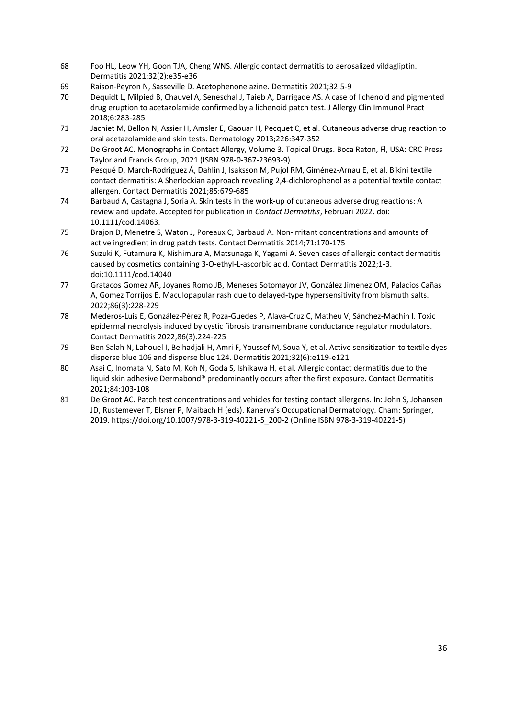- 68 Foo HL, Leow YH, Goon TJA, Cheng WNS. Allergic contact dermatitis to aerosalized vildagliptin. Dermatitis 2021;32(2):e35-e36
- 69 Raison-Peyron N, Sasseville D. Acetophenone azine. Dermatitis 2021;32:5-9
- 70 Dequidt L, Milpied B, Chauvel A, Seneschal J, Taieb A, Darrigade AS. A case of lichenoid and pigmented drug eruption to acetazolamide confirmed by a lichenoid patch test. J Allergy Clin Immunol Pract 2018;6:283-285
- 71 Jachiet M, Bellon N, Assier H, Amsler E, Gaouar H, Pecquet C, et al. Cutaneous adverse drug reaction to oral acetazolamide and skin tests. Dermatology 2013;226:347-352
- 72 De Groot AC. Monographs in Contact Allergy, Volume 3. Topical Drugs. Boca Raton, Fl, USA: CRC Press Taylor and Francis Group, 2021 (ISBN 978-0-367-23693-9)
- 73 Pesqué D, March-Rodriguez Á, Dahlin J, Isaksson M, Pujol RM, Giménez-Arnau E, et al. Bikini textile contact dermatitis: A Sherlockian approach revealing 2,4-dichlorophenol as a potential textile contact allergen. Contact Dermatitis 2021;85:679-685
- 74 Barbaud A, Castagna J, Soria A. Skin tests in the work-up of cutaneous adverse drug reactions: A review and update. Accepted for publication in *Contact Dermatitis*, Februari 2022. doi: 10.1111/cod.14063.
- 75 Brajon D, Menetre S, Waton J, Poreaux C, Barbaud A. Non-irritant concentrations and amounts of active ingredient in drug patch tests. Contact Dermatitis 2014;71:170-175
- 76 Suzuki K, Futamura K, Nishimura A, Matsunaga K, Yagami A. Seven cases of allergic contact dermatitis caused by cosmetics containing 3-O-ethyl-L-ascorbic acid. Contact Dermatitis 2022;1-3. doi:10.1111/cod.14040
- 77 Gratacos Gomez AR, Joyanes Romo JB, Meneses Sotomayor JV, González Jimenez OM, Palacios Cañas A, Gomez Torrijos E. Maculopapular rash due to delayed-type hypersensitivity from bismuth salts. 2022;86(3):228-229
- 78 Mederos-Luis E, González-Pérez R, Poza-Guedes P, Alava-Cruz C, Matheu V, Sánchez-Machín I. Toxic epidermal necrolysis induced by cystic fibrosis transmembrane conductance regulator modulators. Contact Dermatitis 2022;86(3):224-225
- 79 Ben Salah N, Lahouel I, Belhadjali H, Amri F, Youssef M, Soua Y, et al. Active sensitization to textile dyes disperse blue 106 and disperse blue 124. Dermatitis 2021;32(6):e119-e121
- 80 Asai C, Inomata N, Sato M, Koh N, Goda S, Ishikawa H, et al. Allergic contact dermatitis due to the liquid skin adhesive Dermabond® predominantly occurs after the first exposure. Contact Dermatitis 2021;84:103-108
- 81 De Groot AC. Patch test concentrations and vehicles for testing contact allergens. In: John S, Johansen JD, Rustemeyer T, Elsner P, Maibach H (eds). Kanerva's Occupational Dermatology. Cham: Springer, 2019. https://doi.org/10.1007/978-3-319-40221-5\_200-2 (Online ISBN 978-3-319-40221-5)